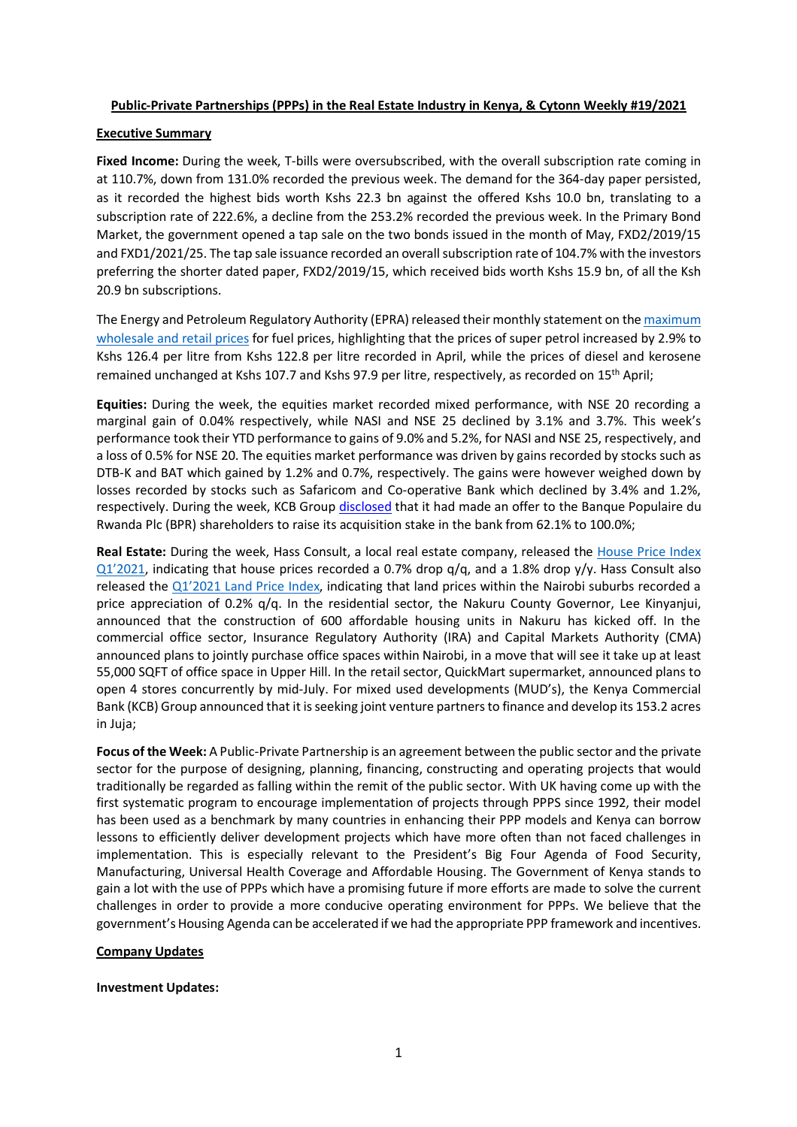#### **Public-Private Partnerships (PPPs) in the Real Estate Industry in Kenya, & Cytonn Weekly #19/2021**

#### **Executive Summary**

**Fixed Income:** During the week, T-bills were oversubscribed, with the overall subscription rate coming in at 110.7%, down from 131.0% recorded the previous week. The demand for the 364-day paper persisted, as it recorded the highest bids worth Kshs 22.3 bn against the offered Kshs 10.0 bn, translating to a subscription rate of 222.6%, a decline from the 253.2% recorded the previous week. In the Primary Bond Market, the government opened a tap sale on the two bonds issued in the month of May, FXD2/2019/15 and FXD1/2021/25. The tap sale issuance recorded an overall subscription rate of 104.7% with the investors preferring the shorter dated paper, FXD2/2019/15, which received bids worth Kshs 15.9 bn, of all the Ksh 20.9 bn subscriptions.

The Energy and Petroleum Regulatory Authority (EPRA) released their monthly statement on the maximum wholesale and retail prices for fuel prices, highlighting that the prices of super petrol increased by 2.9% to Kshs 126.4 per litre from Kshs 122.8 per litre recorded in April, while the prices of diesel and kerosene remained unchanged at Kshs 107.7 and Kshs 97.9 per litre, respectively, as recorded on 15th April;

**Equities:** During the week, the equities market recorded mixed performance, with NSE 20 recording a marginal gain of 0.04% respectively, while NASI and NSE 25 declined by 3.1% and 3.7%. This week's performance took their YTD performance to gains of 9.0% and 5.2%, for NASI and NSE 25, respectively, and a loss of 0.5% for NSE 20. The equities market performance was driven by gains recorded by stocks such as DTB-K and BAT which gained by 1.2% and 0.7%, respectively. The gains were however weighed down by losses recorded by stocks such as Safaricom and Co-operative Bank which declined by 3.4% and 1.2%, respectively. During the week, KCB Group disclosed that it had made an offer to the Banque Populaire du Rwanda Plc (BPR) shareholders to raise its acquisition stake in the bank from 62.1% to 100.0%;

**Real Estate:** During the week, Hass Consult, a local real estate company, released the House Price Index  $Q1'2021$ , indicating that house prices recorded a 0.7% drop  $q/q$ , and a 1.8% drop  $q/y$ . Hass Consult also released the Q1'2021 Land Price Index, indicating that land prices within the Nairobi suburbs recorded a price appreciation of 0.2% q/q. In the residential sector, the Nakuru County Governor, Lee Kinyanjui, announced that the construction of 600 affordable housing units in Nakuru has kicked off. In the commercial office sector, Insurance Regulatory Authority (IRA) and Capital Markets Authority (CMA) announced plans to jointly purchase office spaces within Nairobi, in a move that will see it take up at least 55,000 SQFT of office space in Upper Hill. In the retail sector, QuickMart supermarket, announced plans to open 4 stores concurrently by mid-July. For mixed used developments (MUD's), the Kenya Commercial Bank (KCB) Group announced that it is seeking joint venture partners to finance and develop its 153.2 acres in Juja;

**Focus of the Week:** A Public-Private Partnership is an agreement between the public sector and the private sector for the purpose of designing, planning, financing, constructing and operating projects that would traditionally be regarded as falling within the remit of the public sector. With UK having come up with the first systematic program to encourage implementation of projects through PPPS since 1992, their model has been used as a benchmark by many countries in enhancing their PPP models and Kenya can borrow lessons to efficiently deliver development projects which have more often than not faced challenges in implementation. This is especially relevant to the President's Big Four Agenda of Food Security, Manufacturing, Universal Health Coverage and Affordable Housing. The Government of Kenya stands to gain a lot with the use of PPPs which have a promising future if more efforts are made to solve the current challenges in order to provide a more conducive operating environment for PPPs. We believe that the government's Housing Agenda can be accelerated if we had the appropriate PPP framework and incentives.

#### **Company Updates**

#### **Investment Updates:**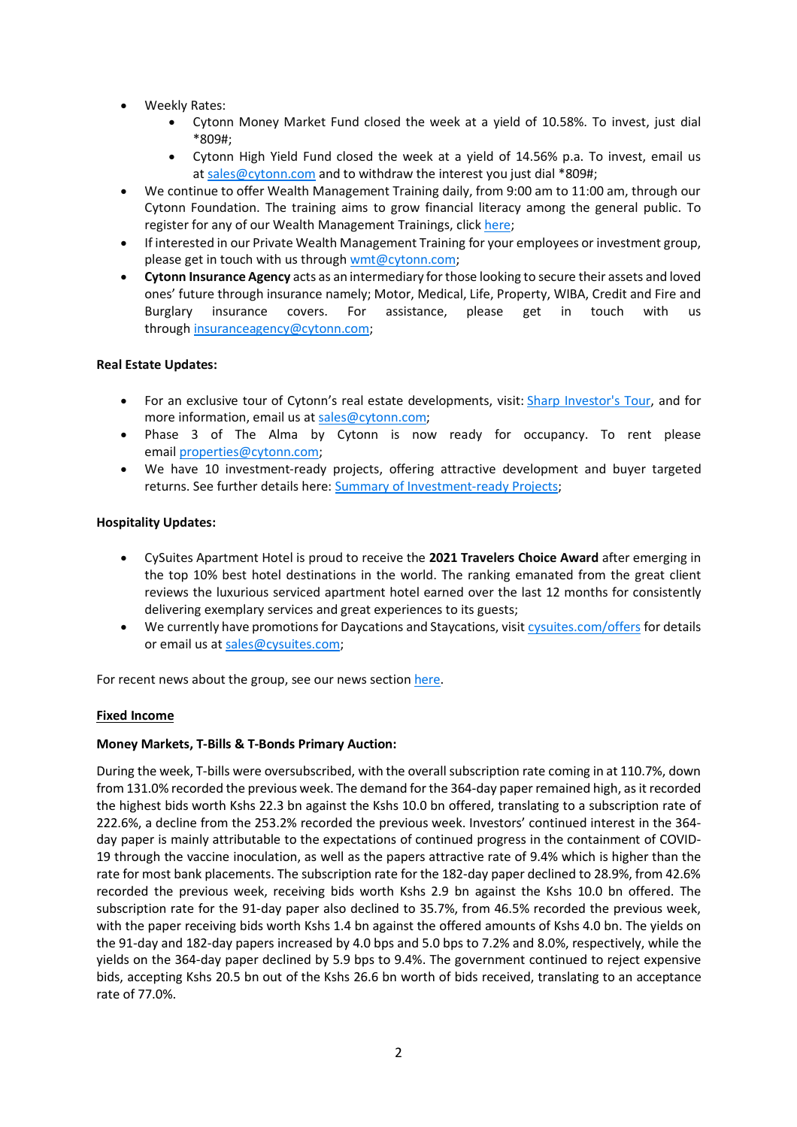- Weekly Rates:
	- Cytonn Money Market Fund closed the week at a yield of 10.58%. To invest, just dial \*809#;
	- Cytonn High Yield Fund closed the week at a yield of 14.56% p.a. To invest, email us at sales@cytonn.com and to withdraw the interest you just dial \*809#;
- We continue to offer Wealth Management Training daily, from 9:00 am to 11:00 am, through our Cytonn Foundation. The training aims to grow financial literacy among the general public. To register for any of our Wealth Management Trainings, click here;
- If interested in our Private Wealth Management Training for your employees or investment group, please get in touch with us through wmt@cytonn.com;
- **Cytonn Insurance Agency** acts as an intermediary for those looking to secure their assets and loved ones' future through insurance namely; Motor, Medical, Life, Property, WIBA, Credit and Fire and Burglary insurance covers. For assistance, please get in touch with us through insuranceagency@cytonn.com;

## **Real Estate Updates:**

- For an exclusive tour of Cytonn's real estate developments, visit: Sharp Investor's Tour, and for more information, email us at sales@cytonn.com;
- Phase 3 of The Alma by Cytonn is now ready for occupancy. To rent please email properties@cytonn.com;
- We have 10 investment-ready projects, offering attractive development and buyer targeted returns. See further details here: Summary of Investment-ready Projects;

## **Hospitality Updates:**

- CySuites Apartment Hotel is proud to receive the **2021 Travelers Choice Award** after emerging in the top 10% best hotel destinations in the world. The ranking emanated from the great client reviews the luxurious serviced apartment hotel earned over the last 12 months for consistently delivering exemplary services and great experiences to its guests;
- We currently have promotions for Daycations and Staycations, visit cysuites.com/offers for details or email us at sales@cysuites.com;

For recent news about the group, see our news section here.

## **Fixed Income**

#### **Money Markets, T-Bills & T-Bonds Primary Auction:**

During the week, T-bills were oversubscribed, with the overall subscription rate coming in at 110.7%, down from 131.0% recorded the previous week. The demand for the 364-day paper remained high, as it recorded the highest bids worth Kshs 22.3 bn against the Kshs 10.0 bn offered, translating to a subscription rate of 222.6%, a decline from the 253.2% recorded the previous week. Investors' continued interest in the 364 day paper is mainly attributable to the expectations of continued progress in the containment of COVID-19 through the vaccine inoculation, as well as the papers attractive rate of 9.4% which is higher than the rate for most bank placements. The subscription rate for the 182-day paper declined to 28.9%, from 42.6% recorded the previous week, receiving bids worth Kshs 2.9 bn against the Kshs 10.0 bn offered. The subscription rate for the 91-day paper also declined to 35.7%, from 46.5% recorded the previous week, with the paper receiving bids worth Kshs 1.4 bn against the offered amounts of Kshs 4.0 bn. The yields on the 91-day and 182-day papers increased by 4.0 bps and 5.0 bps to 7.2% and 8.0%, respectively, while the yields on the 364-day paper declined by 5.9 bps to 9.4%. The government continued to reject expensive bids, accepting Kshs 20.5 bn out of the Kshs 26.6 bn worth of bids received, translating to an acceptance rate of 77.0%.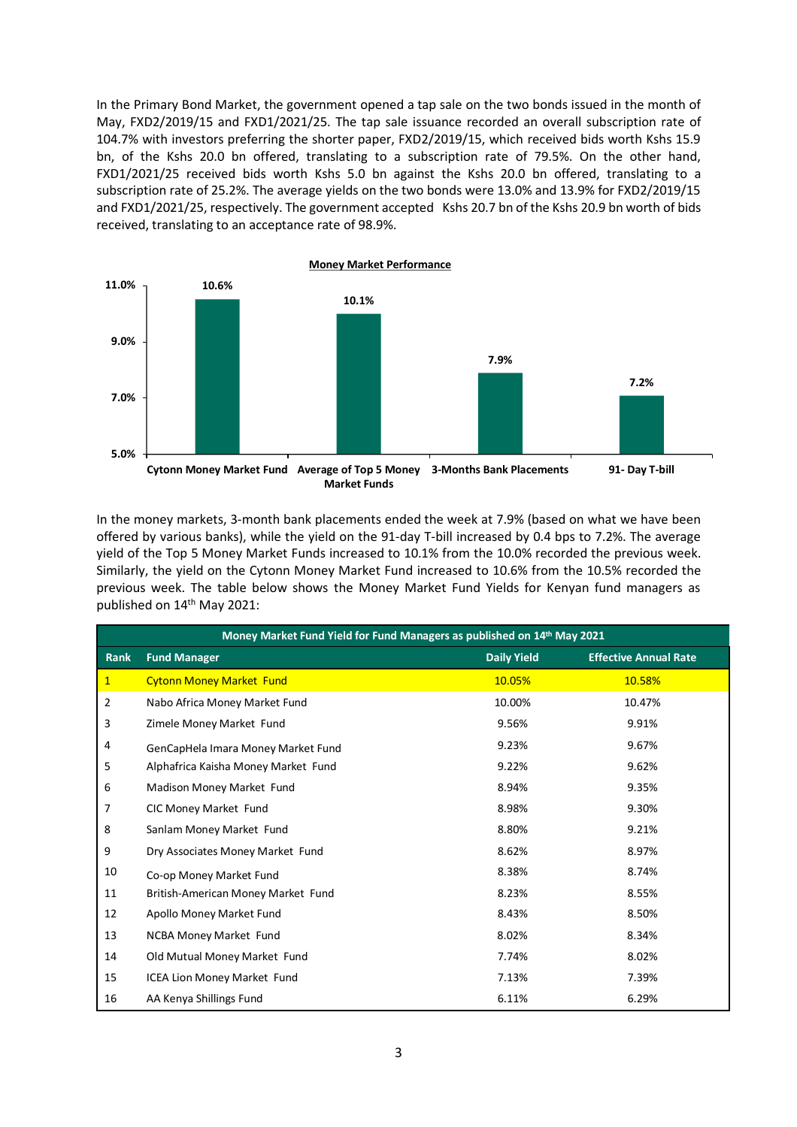In the Primary Bond Market, the government opened a tap sale on the two bonds issued in the month of May, FXD2/2019/15 and FXD1/2021/25. The tap sale issuance recorded an overall subscription rate of 104.7% with investors preferring the shorter paper, FXD2/2019/15, which received bids worth Kshs 15.9 bn, of the Kshs 20.0 bn offered, translating to a subscription rate of 79.5%. On the other hand, FXD1/2021/25 received bids worth Kshs 5.0 bn against the Kshs 20.0 bn offered, translating to a subscription rate of 25.2%. The average yields on the two bonds were 13.0% and 13.9% for FXD2/2019/15 and FXD1/2021/25, respectively. The government accepted Kshs 20.7 bn of the Kshs 20.9 bn worth of bids received, translating to an acceptance rate of 98.9%.



In the money markets, 3-month bank placements ended the week at 7.9% (based on what we have been offered by various banks), while the yield on the 91-day T-bill increased by 0.4 bps to 7.2%. The average yield of the Top 5 Money Market Funds increased to 10.1% from the 10.0% recorded the previous week. Similarly, the yield on the Cytonn Money Market Fund increased to 10.6% from the 10.5% recorded the previous week. The table below shows the Money Market Fund Yields for Kenyan fund managers as published on 14<sup>th</sup> May 2021:

| Money Market Fund Yield for Fund Managers as published on 14th May 2021 |                                     |                    |                              |  |  |  |  |  |
|-------------------------------------------------------------------------|-------------------------------------|--------------------|------------------------------|--|--|--|--|--|
| <b>Rank</b>                                                             | <b>Fund Manager</b>                 | <b>Daily Yield</b> | <b>Effective Annual Rate</b> |  |  |  |  |  |
| $\mathbf{1}$                                                            | <b>Cytonn Money Market Fund</b>     | 10.05%             | 10.58%                       |  |  |  |  |  |
| 2                                                                       | Nabo Africa Money Market Fund       | 10.00%             | 10.47%                       |  |  |  |  |  |
| 3                                                                       | Zimele Money Market Fund            | 9.56%              | 9.91%                        |  |  |  |  |  |
| 4                                                                       | GenCapHela Imara Money Market Fund  | 9.23%              | 9.67%                        |  |  |  |  |  |
| 5                                                                       | Alphafrica Kaisha Money Market Fund | 9.22%              | 9.62%                        |  |  |  |  |  |
| 6                                                                       | Madison Money Market Fund           | 8.94%              | 9.35%                        |  |  |  |  |  |
| 7                                                                       | CIC Money Market Fund               | 8.98%              | 9.30%                        |  |  |  |  |  |
| 8                                                                       | Sanlam Money Market Fund            | 8.80%              | 9.21%                        |  |  |  |  |  |
| 9                                                                       | Dry Associates Money Market Fund    | 8.62%              | 8.97%                        |  |  |  |  |  |
| 10                                                                      | Co-op Money Market Fund             | 8.38%              | 8.74%                        |  |  |  |  |  |
| 11                                                                      | British-American Money Market Fund  | 8.23%              | 8.55%                        |  |  |  |  |  |
| 12                                                                      | Apollo Money Market Fund            | 8.43%              | 8.50%                        |  |  |  |  |  |
| 13                                                                      | NCBA Money Market Fund              | 8.02%              | 8.34%                        |  |  |  |  |  |
| 14                                                                      | Old Mutual Money Market Fund        | 7.74%              | 8.02%                        |  |  |  |  |  |
| 15                                                                      | ICEA Lion Money Market Fund         | 7.13%              | 7.39%                        |  |  |  |  |  |
| 16                                                                      | AA Kenya Shillings Fund             | 6.11%              | 6.29%                        |  |  |  |  |  |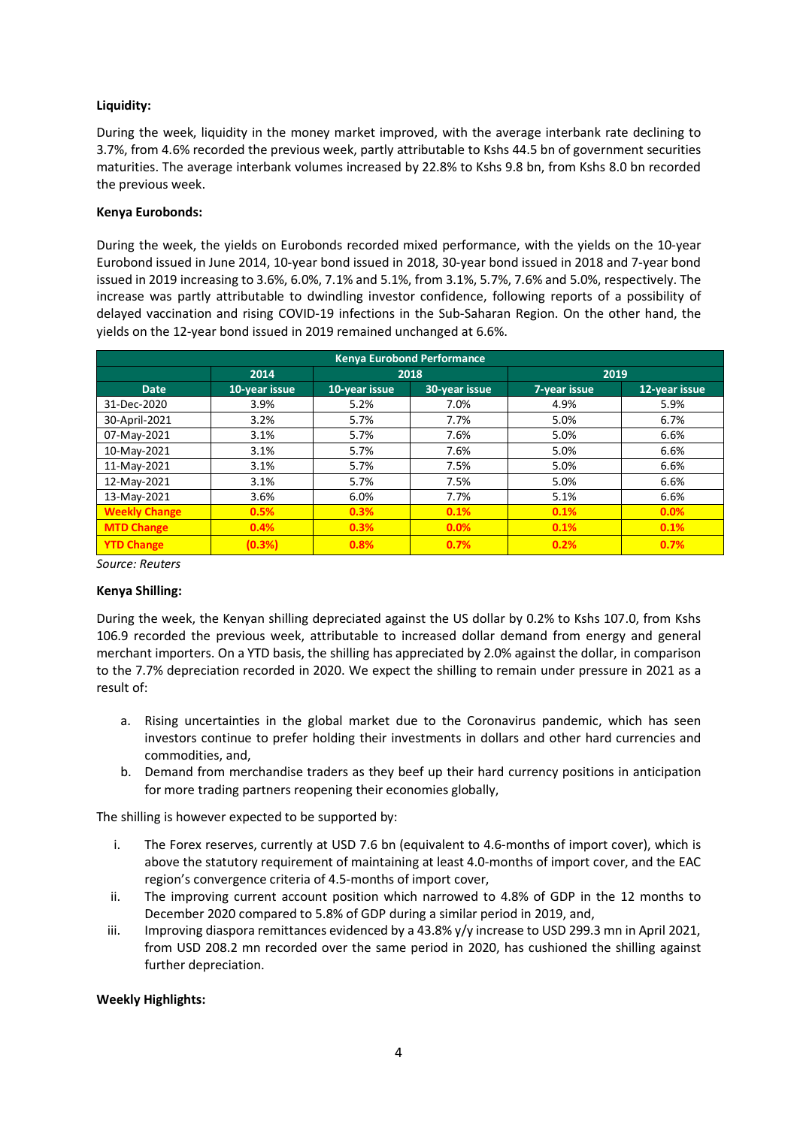# **Liquidity:**

During the week, liquidity in the money market improved, with the average interbank rate declining to 3.7%, from 4.6% recorded the previous week, partly attributable to Kshs 44.5 bn of government securities maturities. The average interbank volumes increased by 22.8% to Kshs 9.8 bn, from Kshs 8.0 bn recorded the previous week.

#### **Kenya Eurobonds:**

During the week, the yields on Eurobonds recorded mixed performance, with the yields on the 10-year Eurobond issued in June 2014, 10-year bond issued in 2018, 30-year bond issued in 2018 and 7-year bond issued in 2019 increasing to 3.6%, 6.0%, 7.1% and 5.1%, from 3.1%, 5.7%, 7.6% and 5.0%, respectively. The increase was partly attributable to dwindling investor confidence, following reports of a possibility of delayed vaccination and rising COVID-19 infections in the Sub-Saharan Region. On the other hand, the yields on the 12-year bond issued in 2019 remained unchanged at 6.6%.

| <b>Kenya Eurobond Performance</b> |               |               |               |              |               |  |  |  |
|-----------------------------------|---------------|---------------|---------------|--------------|---------------|--|--|--|
|                                   | 2014          |               | 2018          | 2019         |               |  |  |  |
| <b>Date</b>                       | 10-year issue | 10-year issue | 30-year issue | 7-year issue | 12-year issue |  |  |  |
| 31-Dec-2020                       | 3.9%          | 5.2%          | 7.0%          | 4.9%         | 5.9%          |  |  |  |
| 30-April-2021                     | 3.2%          | 5.7%          | 7.7%          | 5.0%         | 6.7%          |  |  |  |
| 07-May-2021                       | 3.1%          | 5.7%          | 7.6%          | 5.0%         | 6.6%          |  |  |  |
| 10-May-2021                       | 3.1%          | 5.7%          | 7.6%          | 5.0%         | 6.6%          |  |  |  |
| 11-May-2021                       | 3.1%          | 5.7%          | 7.5%          | 5.0%         | 6.6%          |  |  |  |
| 12-May-2021                       | 3.1%          | 5.7%          | 7.5%          | 5.0%         | 6.6%          |  |  |  |
| 13-May-2021                       | 3.6%          | 6.0%          | 7.7%          | 5.1%         | 6.6%          |  |  |  |
| <b>Weekly Change</b>              | 0.5%          | 0.3%          | 0.1%          | 0.1%         | 0.0%          |  |  |  |
| <b>MTD Change</b>                 | 0.4%          | 0.3%          | 0.0%          | 0.1%         | 0.1%          |  |  |  |
| <b>YTD Change</b>                 | (0.3%)        | 0.8%          | 0.7%          | 0.2%         | 0.7%          |  |  |  |

*Source: Reuters*

## **Kenya Shilling:**

During the week, the Kenyan shilling depreciated against the US dollar by 0.2% to Kshs 107.0, from Kshs 106.9 recorded the previous week, attributable to increased dollar demand from energy and general merchant importers. On a YTD basis, the shilling has appreciated by 2.0% against the dollar, in comparison to the 7.7% depreciation recorded in 2020. We expect the shilling to remain under pressure in 2021 as a result of:

- a. Rising uncertainties in the global market due to the Coronavirus pandemic, which has seen investors continue to prefer holding their investments in dollars and other hard currencies and commodities, and,
- b. Demand from merchandise traders as they beef up their hard currency positions in anticipation for more trading partners reopening their economies globally,

The shilling is however expected to be supported by:

- i. The Forex reserves, currently at USD 7.6 bn (equivalent to 4.6-months of import cover), which is above the statutory requirement of maintaining at least 4.0-months of import cover, and the EAC region's convergence criteria of 4.5-months of import cover,
- ii. The improving current account position which narrowed to 4.8% of GDP in the 12 months to December 2020 compared to 5.8% of GDP during a similar period in 2019, and,
- iii. Improving diaspora remittances evidenced by a 43.8% y/y increase to USD 299.3 mn in April 2021, from USD 208.2 mn recorded over the same period in 2020, has cushioned the shilling against further depreciation.

## **Weekly Highlights:**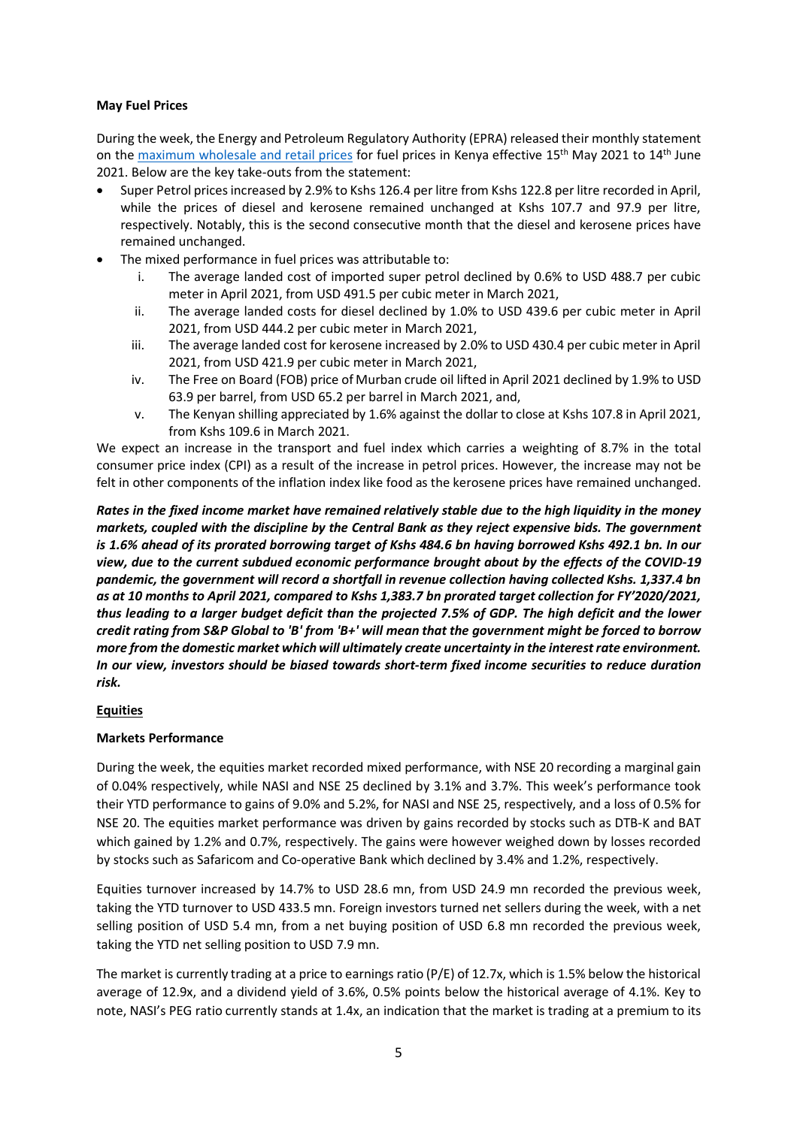## **May Fuel Prices**

During the week, the Energy and Petroleum Regulatory Authority (EPRA) released their monthly statement on the maximum wholesale and retail prices for fuel prices in Kenya effective 15<sup>th</sup> May 2021 to 14<sup>th</sup> June 2021. Below are the key take-outs from the statement:

- Super Petrol prices increased by 2.9% to Kshs 126.4 per litre from Kshs 122.8 per litre recorded in April, while the prices of diesel and kerosene remained unchanged at Kshs 107.7 and 97.9 per litre, respectively. Notably, this is the second consecutive month that the diesel and kerosene prices have remained unchanged.
- The mixed performance in fuel prices was attributable to:
	- i. The average landed cost of imported super petrol declined by 0.6% to USD 488.7 per cubic meter in April 2021, from USD 491.5 per cubic meter in March 2021,
	- ii. The average landed costs for diesel declined by 1.0% to USD 439.6 per cubic meter in April 2021, from USD 444.2 per cubic meter in March 2021,
	- iii. The average landed cost for kerosene increased by 2.0% to USD 430.4 per cubic meter in April 2021, from USD 421.9 per cubic meter in March 2021,
	- iv. The Free on Board (FOB) price of Murban crude oil lifted in April 2021 declined by 1.9% to USD 63.9 per barrel, from USD 65.2 per barrel in March 2021, and,
	- v. The Kenyan shilling appreciated by 1.6% against the dollar to close at Kshs 107.8 in April 2021, from Kshs 109.6 in March 2021.

We expect an increase in the transport and fuel index which carries a weighting of 8.7% in the total consumer price index (CPI) as a result of the increase in petrol prices. However, the increase may not be felt in other components of the inflation index like food as the kerosene prices have remained unchanged.

*Rates in the fixed income market have remained relatively stable due to the high liquidity in the money markets, coupled with the discipline by the Central Bank as they reject expensive bids. The government is 1.6% ahead of its prorated borrowing target of Kshs 484.6 bn having borrowed Kshs 492.1 bn. In our view, due to the current subdued economic performance brought about by the effects of the COVID-19 pandemic, the government will record a shortfall in revenue collection having collected Kshs. 1,337.4 bn as at 10 months to April 2021, compared to Kshs 1,383.7 bn prorated target collection for FY'2020/2021, thus leading to a larger budget deficit than the projected 7.5% of GDP. The high deficit and the lower credit rating from S&P Global to 'B' from 'B+' will mean that the government might be forced to borrow more from the domestic market which will ultimately create uncertainty in the interest rate environment. In our view, investors should be biased towards short-term fixed income securities to reduce duration risk.*

## **Equities**

## **Markets Performance**

During the week, the equities market recorded mixed performance, with NSE 20 recording a marginal gain of 0.04% respectively, while NASI and NSE 25 declined by 3.1% and 3.7%. This week's performance took their YTD performance to gains of 9.0% and 5.2%, for NASI and NSE 25, respectively, and a loss of 0.5% for NSE 20. The equities market performance was driven by gains recorded by stocks such as DTB-K and BAT which gained by 1.2% and 0.7%, respectively. The gains were however weighed down by losses recorded by stocks such as Safaricom and Co-operative Bank which declined by 3.4% and 1.2%, respectively.

Equities turnover increased by 14.7% to USD 28.6 mn, from USD 24.9 mn recorded the previous week, taking the YTD turnover to USD 433.5 mn. Foreign investors turned net sellers during the week, with a net selling position of USD 5.4 mn, from a net buying position of USD 6.8 mn recorded the previous week, taking the YTD net selling position to USD 7.9 mn.

The market is currently trading at a price to earnings ratio (P/E) of 12.7x, which is 1.5% below the historical average of 12.9x, and a dividend yield of 3.6%, 0.5% points below the historical average of 4.1%. Key to note, NASI's PEG ratio currently stands at 1.4x, an indication that the market is trading at a premium to its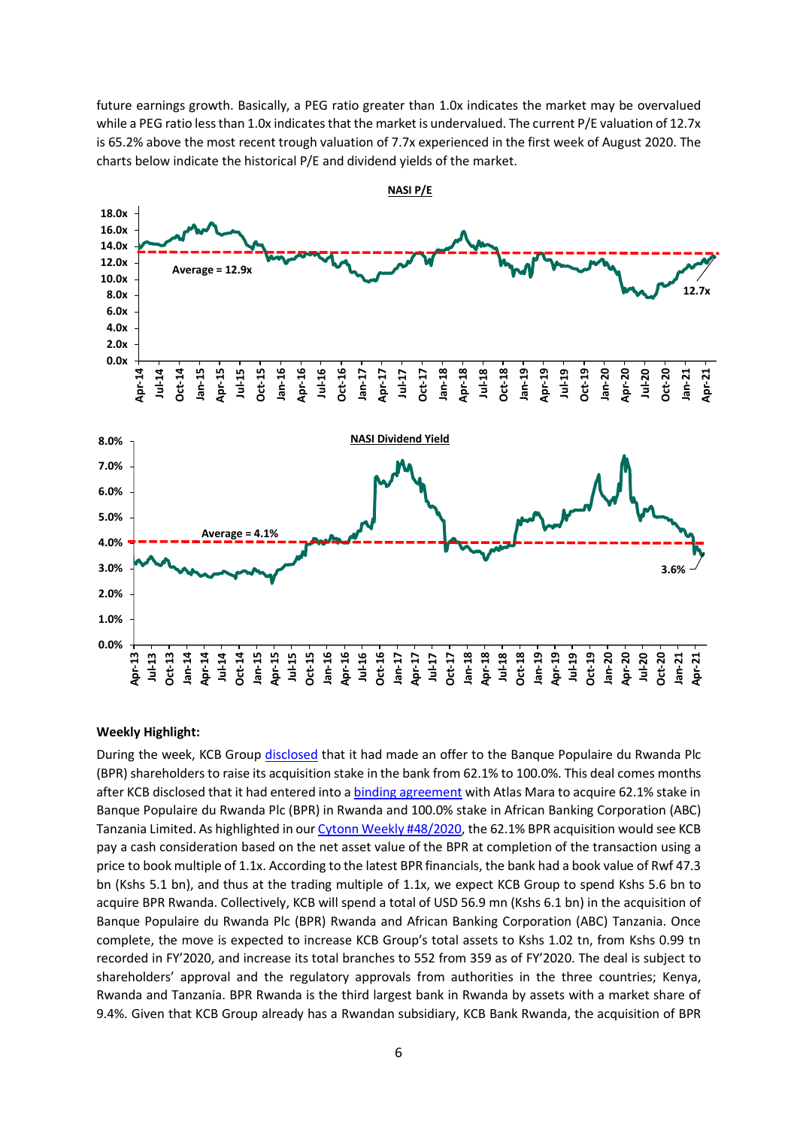future earnings growth. Basically, a PEG ratio greater than 1.0x indicates the market may be overvalued while a PEG ratio less than 1.0x indicates that the market is undervalued. The current P/E valuation of 12.7x is 65.2% above the most recent trough valuation of 7.7x experienced in the first week of August 2020. The charts below indicate the historical P/E and dividend yields of the market.



#### **Weekly Highlight:**

During the week, KCB Group disclosed that it had made an offer to the Banque Populaire du Rwanda Plc (BPR) shareholders to raise its acquisition stake in the bank from 62.1% to 100.0%. This deal comes months after KCB disclosed that it had entered into a binding agreement with Atlas Mara to acquire 62.1% stake in Banque Populaire du Rwanda Plc (BPR) in Rwanda and 100.0% stake in African Banking Corporation (ABC) Tanzania Limited. As highlighted in our Cytonn Weekly #48/2020, the 62.1% BPR acquisition would see KCB pay a cash consideration based on the net asset value of the BPR at completion of the transaction using a price to book multiple of 1.1x. According to the latest BPR financials, the bank had a book value of Rwf 47.3 bn (Kshs 5.1 bn), and thus at the trading multiple of 1.1x, we expect KCB Group to spend Kshs 5.6 bn to acquire BPR Rwanda. Collectively, KCB will spend a total of USD 56.9 mn (Kshs 6.1 bn) in the acquisition of Banque Populaire du Rwanda Plc (BPR) Rwanda and African Banking Corporation (ABC) Tanzania. Once complete, the move is expected to increase KCB Group's total assets to Kshs 1.02 tn, from Kshs 0.99 tn recorded in FY'2020, and increase its total branches to 552 from 359 as of FY'2020. The deal is subject to shareholders' approval and the regulatory approvals from authorities in the three countries; Kenya, Rwanda and Tanzania. BPR Rwanda is the third largest bank in Rwanda by assets with a market share of 9.4%. Given that KCB Group already has a Rwandan subsidiary, KCB Bank Rwanda, the acquisition of BPR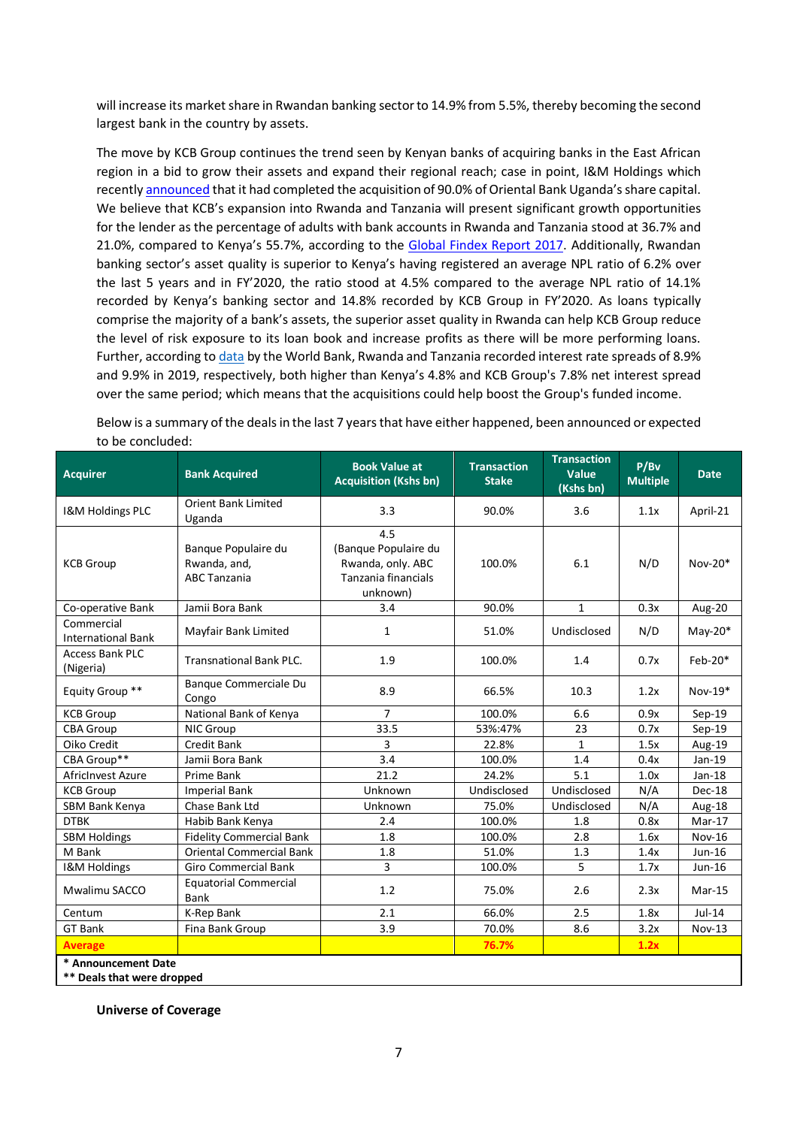will increase its market share in Rwandan banking sector to 14.9% from 5.5%, thereby becoming the second largest bank in the country by assets.

The move by KCB Group continues the trend seen by Kenyan banks of acquiring banks in the East African region in a bid to grow their assets and expand their regional reach; case in point, I&M Holdings which recently announced that it had completed the acquisition of 90.0% of Oriental Bank Uganda's share capital. We believe that KCB's expansion into Rwanda and Tanzania will present significant growth opportunities for the lender as the percentage of adults with bank accounts in Rwanda and Tanzania stood at 36.7% and 21.0%, compared to Kenya's 55.7%, according to the Global Findex Report 2017. Additionally, Rwandan banking sector's asset quality is superior to Kenya's having registered an average NPL ratio of 6.2% over the last 5 years and in FY'2020, the ratio stood at 4.5% compared to the average NPL ratio of 14.1% recorded by Kenya's banking sector and 14.8% recorded by KCB Group in FY'2020. As loans typically comprise the majority of a bank's assets, the superior asset quality in Rwanda can help KCB Group reduce the level of risk exposure to its loan book and increase profits as there will be more performing loans. Further, according to data by the World Bank, Rwanda and Tanzania recorded interest rate spreads of 8.9% and 9.9% in 2019, respectively, both higher than Kenya's 4.8% and KCB Group's 7.8% net interest spread over the same period; which means that the acquisitions could help boost the Group's funded income.

Below is a summary of the deals in the last 7 years that have either happened, been announced or expected to be concluded:

| <b>Acquirer</b>                                   | <b>Bank Acquired</b>                                       | <b>Book Value at</b><br><b>Acquisition (Kshs bn)</b>                                | <b>Transaction</b><br><b>Stake</b> | <b>Transaction</b><br>Value<br>(Kshs bn) | P/Bv<br><b>Multiple</b> | <b>Date</b>   |
|---------------------------------------------------|------------------------------------------------------------|-------------------------------------------------------------------------------------|------------------------------------|------------------------------------------|-------------------------|---------------|
| I&M Holdings PLC                                  | <b>Orient Bank Limited</b><br>Uganda                       | 3.3                                                                                 | 90.0%                              | 3.6                                      | 1.1x                    | April-21      |
| <b>KCB Group</b>                                  | Banque Populaire du<br>Rwanda, and,<br><b>ABC Tanzania</b> | 4.5<br>(Banque Populaire du<br>Rwanda, only. ABC<br>Tanzania financials<br>unknown) | 100.0%                             | 6.1                                      | N/D                     | $Nov-20*$     |
| Co-operative Bank                                 | Jamii Bora Bank                                            | 3.4                                                                                 | 90.0%                              | $\mathbf{1}$                             | 0.3x                    | Aug-20        |
| Commercial<br><b>International Bank</b>           | Mayfair Bank Limited                                       | 1                                                                                   | 51.0%                              | Undisclosed                              | N/D                     | May-20 $*$    |
| <b>Access Bank PLC</b><br>(Nigeria)               | <b>Transnational Bank PLC.</b>                             | 1.9                                                                                 | 100.0%                             | 1.4                                      | 0.7x                    | Feb-20*       |
| Equity Group **                                   | Banque Commerciale Du<br>Congo                             | 8.9                                                                                 | 66.5%                              | 10.3                                     | 1.2x                    | $Nov-19*$     |
| <b>KCB Group</b>                                  | National Bank of Kenya                                     | $\overline{7}$                                                                      | 100.0%                             | 6.6                                      | 0.9x                    | $Sep-19$      |
| <b>CBA Group</b>                                  | NIC Group                                                  | 33.5                                                                                | 53%:47%                            | 23                                       | 0.7x                    | $Sep-19$      |
| Oiko Credit                                       | Credit Bank                                                | 3                                                                                   | 22.8%                              | $\mathbf{1}$                             | 1.5x                    | Aug-19        |
| CBA Group**                                       | Jamii Bora Bank                                            | 3.4                                                                                 | 100.0%                             | 1.4                                      | 0.4x                    | Jan-19        |
| AfricInvest Azure                                 | Prime Bank                                                 | 21.2                                                                                | 24.2%                              | 5.1                                      | 1.0x                    | $Jan-18$      |
| <b>KCB Group</b>                                  | <b>Imperial Bank</b>                                       | Unknown                                                                             | Undisclosed                        | Undisclosed                              | N/A                     | Dec-18        |
| SBM Bank Kenya                                    | Chase Bank Ltd                                             | Unknown                                                                             | 75.0%                              | Undisclosed                              | N/A                     | Aug-18        |
| <b>DTBK</b>                                       | Habib Bank Kenya                                           | 2.4                                                                                 | 100.0%                             | 1.8                                      | 0.8x                    | $Mar-17$      |
| <b>SBM Holdings</b>                               | <b>Fidelity Commercial Bank</b>                            | 1.8                                                                                 | 100.0%                             | 2.8                                      | 1.6x                    | <b>Nov-16</b> |
| M Bank                                            | <b>Oriental Commercial Bank</b>                            | 1.8                                                                                 | 51.0%                              | 1.3                                      | 1.4x                    | Jun-16        |
| I&M Holdings                                      | <b>Giro Commercial Bank</b>                                | 3                                                                                   | 100.0%                             | 5                                        | 1.7x                    | Jun-16        |
| Mwalimu SACCO                                     | <b>Equatorial Commercial</b><br><b>Bank</b>                | 1.2                                                                                 | 75.0%                              | 2.6                                      | 2.3x                    | $Mar-15$      |
| Centum                                            | K-Rep Bank                                                 | 2.1                                                                                 | 66.0%                              | 2.5                                      | 1.8x                    | $Jul-14$      |
| <b>GT Bank</b>                                    | Fina Bank Group                                            | 3.9                                                                                 | 70.0%                              | 8.6                                      | 3.2x                    | Nov-13        |
| <b>Average</b>                                    |                                                            |                                                                                     | 76.7%                              |                                          | 1.2x                    |               |
| * Announcement Date<br>** Deals that were dropped |                                                            |                                                                                     |                                    |                                          |                         |               |

**Universe of Coverage**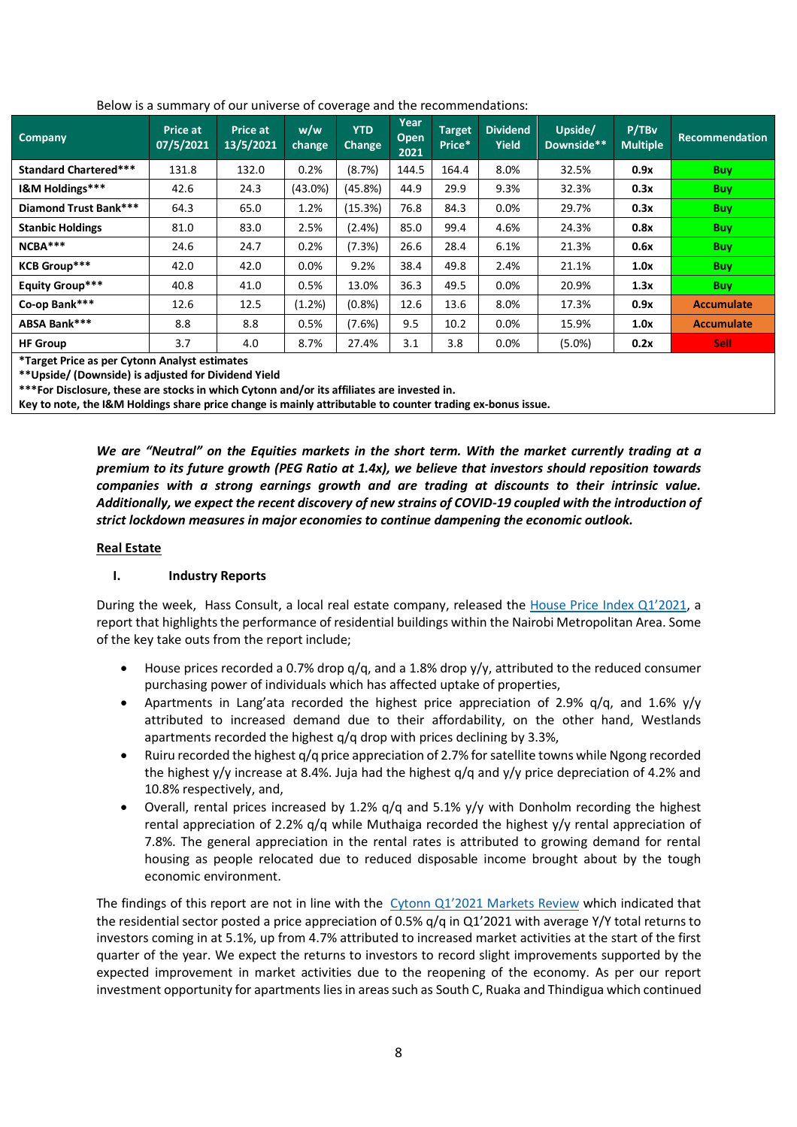| Company                                                | Price at<br>07/5/2021 | Price at<br>13/5/2021 | w/w<br>change | <b>YTD</b><br><b>Change</b> | Year<br>Open<br>2021 | <b>Target</b><br>Price* | <b>Dividend</b><br><b>Yield</b> | Upside/<br>Downside** | P/TBv<br><b>Multiple</b> | <b>Recommendation</b> |
|--------------------------------------------------------|-----------------------|-----------------------|---------------|-----------------------------|----------------------|-------------------------|---------------------------------|-----------------------|--------------------------|-----------------------|
| <b>Standard Chartered***</b>                           | 131.8                 | 132.0                 | 0.2%          | (8.7%)                      | 144.5                | 164.4                   | 8.0%                            | 32.5%                 | 0.9x                     | <b>Buy</b>            |
| I&M Holdings***                                        | 42.6                  | 24.3                  | $(43.0\%)$    | (45.8%)                     | 44.9                 | 29.9                    | 9.3%                            | 32.3%                 | 0.3x                     | <b>Buy</b>            |
| <b>Diamond Trust Bank***</b>                           | 64.3                  | 65.0                  | 1.2%          | (15.3%)                     | 76.8                 | 84.3                    | 0.0%                            | 29.7%                 | 0.3x                     | <b>Buy</b>            |
| <b>Stanbic Holdings</b>                                | 81.0                  | 83.0                  | 2.5%          | $(2.4\%)$                   | 85.0                 | 99.4                    | 4.6%                            | 24.3%                 | 0.8x                     | <b>Buy</b>            |
| NCBA***                                                | 24.6                  | 24.7                  | 0.2%          | (7.3%)                      | 26.6                 | 28.4                    | 6.1%                            | 21.3%                 | 0.6x                     | <b>Buy</b>            |
| <b>KCB Group***</b>                                    | 42.0                  | 42.0                  | 0.0%          | 9.2%                        | 38.4                 | 49.8                    | 2.4%                            | 21.1%                 | 1.0x                     | <b>Buy</b>            |
| Equity Group***                                        | 40.8                  | 41.0                  | 0.5%          | 13.0%                       | 36.3                 | 49.5                    | 0.0%                            | 20.9%                 | 1.3x                     | <b>Buy</b>            |
| Co-op Bank***                                          | 12.6                  | 12.5                  | $(1.2\%)$     | (0.8% )                     | 12.6                 | 13.6                    | 8.0%                            | 17.3%                 | 0.9x                     | <b>Accumulate</b>     |
| ABSA Bank***                                           | 8.8                   | 8.8                   | 0.5%          | (7.6%)                      | 9.5                  | 10.2                    | 0.0%                            | 15.9%                 | 1.0x                     | <b>Accumulate</b>     |
| <b>HF Group</b>                                        | 3.7                   | 4.0                   | 8.7%          | 27.4%                       | 3.1                  | 3.8                     | 0.0%                            | $(5.0\%)$             | 0.2x                     | <b>Sell</b>           |
| <b>*Texas Dulce as well Outside Anglicat astimates</b> |                       |                       |               |                             |                      |                         |                                 |                       |                          |                       |

# Below is a summary of our universe of coverage and the recommendations:

**\*Target Price as per Cytonn Analyst estimates**

**\*\*Upside/ (Downside) is adjusted for Dividend Yield**

**\*\*\*For Disclosure, these are stocks in which Cytonn and/or its affiliates are invested in.** 

**Key to note, the I&M Holdings share price change is mainly attributable to counter trading ex-bonus issue.**

*We are "Neutral" on the Equities markets in the short term. With the market currently trading at a premium to its future growth (PEG Ratio at 1.4x), we believe that investors should reposition towards companies with a strong earnings growth and are trading at discounts to their intrinsic value. Additionally, we expect the recent discovery of new strains of COVID-19 coupled with the introduction of strict lockdown measures in major economies to continue dampening the economic outlook.*

## **Real Estate**

# **I. Industry Reports**

During the week, Hass Consult, a local real estate company, released the House Price Index Q1'2021, a report that highlights the performance of residential buildings within the Nairobi Metropolitan Area. Some of the key take outs from the report include;

- House prices recorded a 0.7% drop  $q/q$ , and a 1.8% drop  $y/y$ , attributed to the reduced consumer purchasing power of individuals which has affected uptake of properties,
- Apartments in Lang'ata recorded the highest price appreciation of 2.9%  $q/q$ , and 1.6%  $y/y$ attributed to increased demand due to their affordability, on the other hand, Westlands apartments recorded the highest q/q drop with prices declining by 3.3%,
- Ruiru recorded the highest q/q price appreciation of 2.7% for satellite towns while Ngong recorded the highest y/y increase at 8.4%. Juja had the highest q/q and y/y price depreciation of 4.2% and 10.8% respectively, and,
- Overall, rental prices increased by 1.2%  $q/q$  and 5.1%  $y/y$  with Donholm recording the highest rental appreciation of 2.2% q/q while Muthaiga recorded the highest y/y rental appreciation of 7.8%. The general appreciation in the rental rates is attributed to growing demand for rental housing as people relocated due to reduced disposable income brought about by the tough economic environment.

The findings of this report are not in line with the Cytonn Q1'2021 Markets Review which indicated that the residential sector posted a price appreciation of 0.5% q/q in Q1'2021 with average Y/Y total returns to investors coming in at 5.1%, up from 4.7% attributed to increased market activities at the start of the first quarter of the year. We expect the returns to investors to record slight improvements supported by the expected improvement in market activities due to the reopening of the economy. As per our report investment opportunity for apartments lies in areas such as South C, Ruaka and Thindigua which continued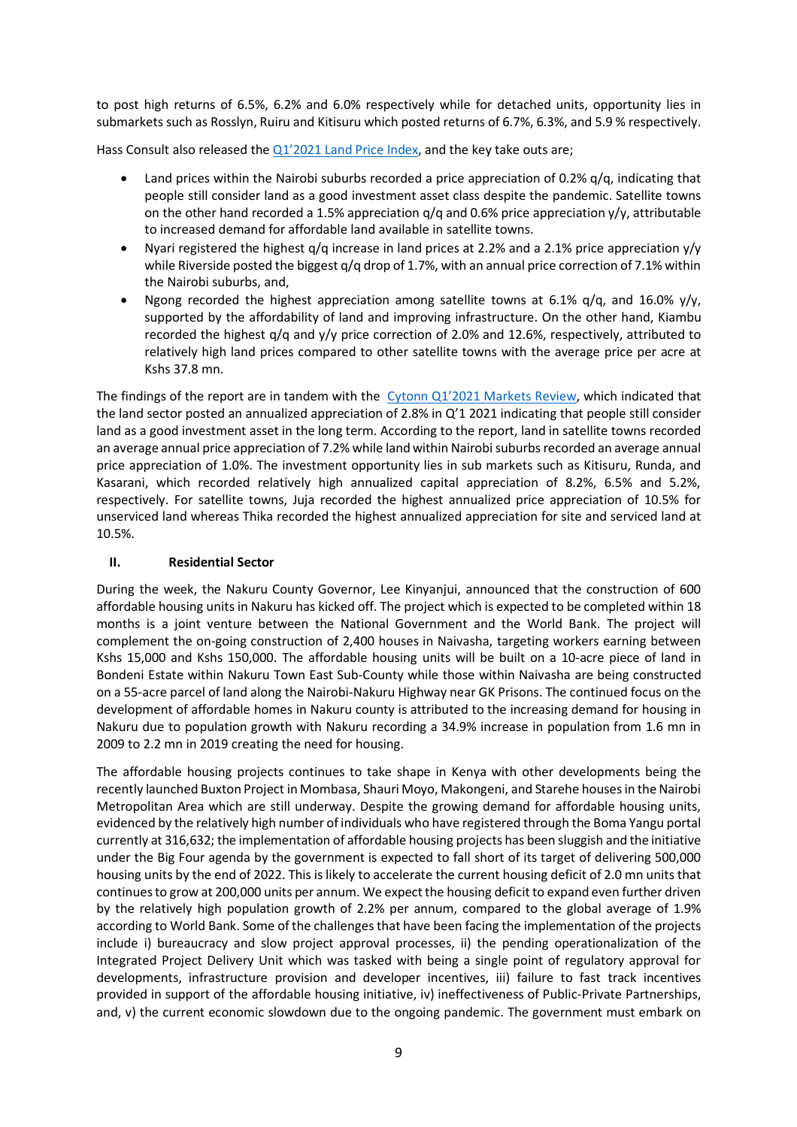to post high returns of 6.5%, 6.2% and 6.0% respectively while for detached units, opportunity lies in submarkets such as Rosslyn, Ruiru and Kitisuru which posted returns of 6.7%, 6.3%, and 5.9 % respectively.

Hass Consult also released the Q1'2021 Land Price Index, and the key take outs are;

- Land prices within the Nairobi suburbs recorded a price appreciation of 0.2%  $q/q$ , indicating that people still consider land as a good investment asset class despite the pandemic. Satellite towns on the other hand recorded a 1.5% appreciation  $q/q$  and 0.6% price appreciation  $y/y$ , attributable to increased demand for affordable land available in satellite towns.
- Nyari registered the highest q/q increase in land prices at 2.2% and a 2.1% price appreciation y/y while Riverside posted the biggest q/q drop of 1.7%, with an annual price correction of 7.1% within the Nairobi suburbs, and,
- Ngong recorded the highest appreciation among satellite towns at 6.1%  $q/q$ , and 16.0%  $y/y$ , supported by the affordability of land and improving infrastructure. On the other hand, Kiambu recorded the highest q/q and y/y price correction of 2.0% and 12.6%, respectively, attributed to relatively high land prices compared to other satellite towns with the average price per acre at Kshs 37.8 mn.

The findings of the report are in tandem with the Cytonn Q1'2021 Markets Review, which indicated that the land sector posted an annualized appreciation of 2.8% in Q'1 2021 indicating that people still consider land as a good investment asset in the long term. According to the report, land in satellite towns recorded an average annual price appreciation of 7.2% while land within Nairobi suburbs recorded an average annual price appreciation of 1.0%. The investment opportunity lies in sub markets such as Kitisuru, Runda, and Kasarani, which recorded relatively high annualized capital appreciation of 8.2%, 6.5% and 5.2%, respectively. For satellite towns, Juja recorded the highest annualized price appreciation of 10.5% for unserviced land whereas Thika recorded the highest annualized appreciation for site and serviced land at 10.5%.

## **II. Residential Sector**

During the week, the Nakuru County Governor, Lee Kinyanjui, announced that the construction of 600 affordable housing units in Nakuru has kicked off. The project which is expected to be completed within 18 months is a joint venture between the National Government and the World Bank. The project will complement the on-going construction of 2,400 houses in Naivasha, targeting workers earning between Kshs 15,000 and Kshs 150,000. The affordable housing units will be built on a 10-acre piece of land in Bondeni Estate within Nakuru Town East Sub-County while those within Naivasha are being constructed on a 55-acre parcel of land along the Nairobi-Nakuru Highway near GK Prisons. The continued focus on the development of affordable homes in Nakuru county is attributed to the increasing demand for housing in Nakuru due to population growth with Nakuru recording a 34.9% increase in population from 1.6 mn in 2009 to 2.2 mn in 2019 creating the need for housing.

The affordable housing projects continues to take shape in Kenya with other developments being the recently launched Buxton Project in Mombasa, Shauri Moyo, Makongeni, and Starehe houses in the Nairobi Metropolitan Area which are still underway. Despite the growing demand for affordable housing units, evidenced by the relatively high number of individuals who have registered through the Boma Yangu portal currently at 316,632; the implementation of affordable housing projects has been sluggish and the initiative under the Big Four agenda by the government is expected to fall short of its target of delivering 500,000 housing units by the end of 2022. This is likely to accelerate the current housing deficit of 2.0 mn units that continues to grow at 200,000 units per annum. We expect the housing deficit to expand even further driven by the relatively high population growth of 2.2% per annum, compared to the global average of 1.9% according to World Bank. Some of the challenges that have been facing the implementation of the projects include i) bureaucracy and slow project approval processes, ii) the pending operationalization of the Integrated Project Delivery Unit which was tasked with being a single point of regulatory approval for developments, infrastructure provision and developer incentives, iii) failure to fast track incentives provided in support of the affordable housing initiative, iv) ineffectiveness of Public-Private Partnerships, and, v) the current economic slowdown due to the ongoing pandemic. The government must embark on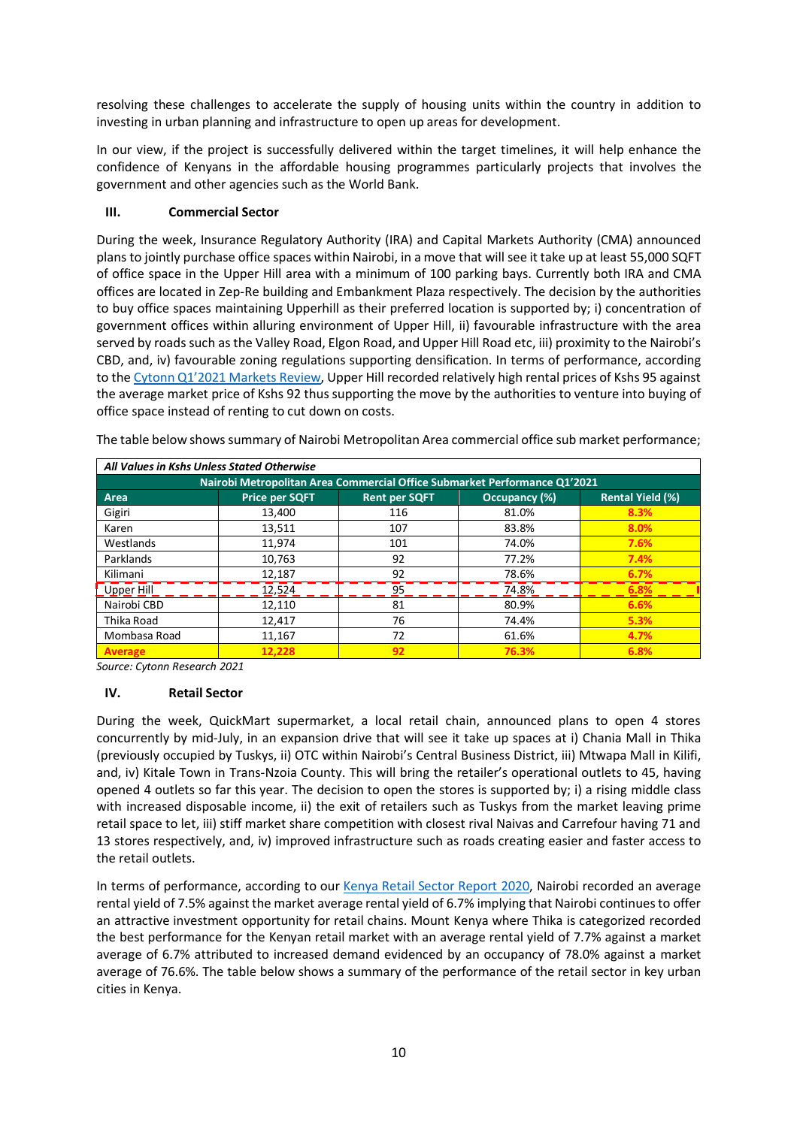resolving these challenges to accelerate the supply of housing units within the country in addition to investing in urban planning and infrastructure to open up areas for development.

In our view, if the project is successfully delivered within the target timelines, it will help enhance the confidence of Kenyans in the affordable housing programmes particularly projects that involves the government and other agencies such as the World Bank.

# **III. Commercial Sector**

During the week, Insurance Regulatory Authority (IRA) and Capital Markets Authority (CMA) announced plans to jointly purchase office spaces within Nairobi, in a move that will see it take up at least 55,000 SQFT of office space in the Upper Hill area with a minimum of 100 parking bays. Currently both IRA and CMA offices are located in Zep-Re building and Embankment Plaza respectively. The decision by the authorities to buy office spaces maintaining Upperhill as their preferred location is supported by; i) concentration of government offices within alluring environment of Upper Hill, ii) favourable infrastructure with the area served by roads such as the Valley Road, Elgon Road, and Upper Hill Road etc, iii) proximity to the Nairobi's CBD, and, iv) favourable zoning regulations supporting densification. In terms of performance, according to the Cytonn Q1'2021 Markets Review, Upper Hill recorded relatively high rental prices of Kshs 95 against the average market price of Kshs 92 thus supporting the move by the authorities to venture into buying of office space instead of renting to cut down on costs.

|  |  | The table below shows summary of Nairobi Metropolitan Area commercial office sub market performance; |
|--|--|------------------------------------------------------------------------------------------------------|
|--|--|------------------------------------------------------------------------------------------------------|

| All Values in Kshs Unless Stated Otherwise                                |                       |                      |               |                         |  |  |  |  |  |  |  |
|---------------------------------------------------------------------------|-----------------------|----------------------|---------------|-------------------------|--|--|--|--|--|--|--|
| Nairobi Metropolitan Area Commercial Office Submarket Performance Q1'2021 |                       |                      |               |                         |  |  |  |  |  |  |  |
| Area                                                                      | <b>Price per SQFT</b> | <b>Rent per SQFT</b> | Occupancy (%) | <b>Rental Yield (%)</b> |  |  |  |  |  |  |  |
| Gigiri                                                                    | 13.400                | 116                  | 81.0%         | 8.3%                    |  |  |  |  |  |  |  |
| Karen                                                                     | 13,511                | 107                  | 83.8%         | 8.0%                    |  |  |  |  |  |  |  |
| Westlands                                                                 | 11,974                | 101                  | 74.0%         | 7.6%                    |  |  |  |  |  |  |  |
| Parklands                                                                 | 10,763                | 92                   | 77.2%         | 7.4%                    |  |  |  |  |  |  |  |
| Kilimani                                                                  | 12.187                | 92                   | 78.6%         | 6.7%                    |  |  |  |  |  |  |  |
| Upper Hill                                                                | 12,524                | 95                   | 74.8%         | 6.8%                    |  |  |  |  |  |  |  |
| Nairobi CBD                                                               | 12,110                | 81                   | 80.9%         | 6.6%                    |  |  |  |  |  |  |  |
| Thika Road                                                                | 12,417                | 76                   | 74.4%         | 5.3%                    |  |  |  |  |  |  |  |
| Mombasa Road                                                              | 11,167                | 72                   | 61.6%         | 4.7%                    |  |  |  |  |  |  |  |
| <b>Average</b>                                                            | 12.228                | 92                   | 76.3%         | 6.8%                    |  |  |  |  |  |  |  |

*Source: Cytonn Research 2021*

## **IV. Retail Sector**

During the week, QuickMart supermarket, a local retail chain, announced plans to open 4 stores concurrently by mid-July, in an expansion drive that will see it take up spaces at i) Chania Mall in Thika (previously occupied by Tuskys, ii) OTC within Nairobi's Central Business District, iii) Mtwapa Mall in Kilifi, and, iv) Kitale Town in Trans-Nzoia County. This will bring the retailer's operational outlets to 45, having opened 4 outlets so far this year. The decision to open the stores is supported by; i) a rising middle class with increased disposable income, ii) the exit of retailers such as Tuskys from the market leaving prime retail space to let, iii) stiff market share competition with closest rival Naivas and Carrefour having 71 and 13 stores respectively, and, iv) improved infrastructure such as roads creating easier and faster access to the retail outlets.

In terms of performance, according to our Kenya Retail Sector Report 2020, Nairobi recorded an average rental yield of 7.5% against the market average rental yield of 6.7% implying that Nairobi continues to offer an attractive investment opportunity for retail chains. Mount Kenya where Thika is categorized recorded the best performance for the Kenyan retail market with an average rental yield of 7.7% against a market average of 6.7% attributed to increased demand evidenced by an occupancy of 78.0% against a market average of 76.6%. The table below shows a summary of the performance of the retail sector in key urban cities in Kenya.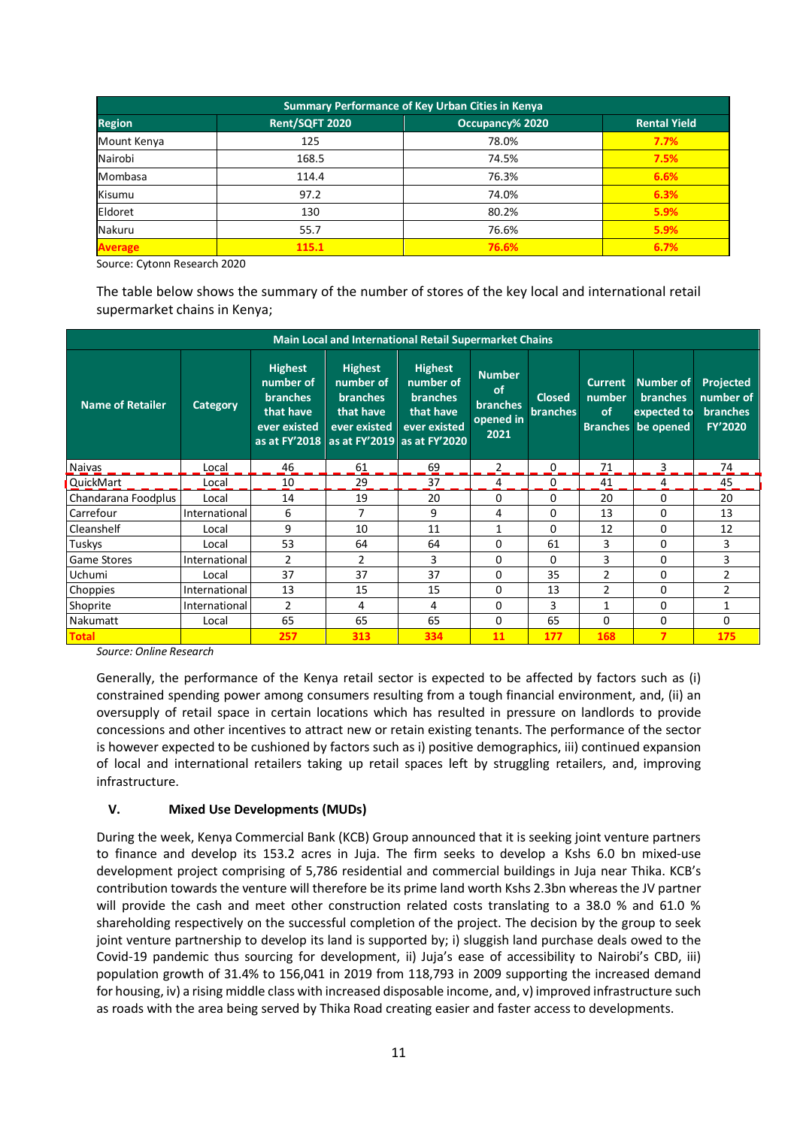| <b>Summary Performance of Key Urban Cities in Kenya</b> |                     |       |      |  |  |  |  |  |  |
|---------------------------------------------------------|---------------------|-------|------|--|--|--|--|--|--|
| <b>Region</b>                                           | <b>Rental Yield</b> |       |      |  |  |  |  |  |  |
| Mount Kenya                                             | 125                 | 78.0% | 7.7% |  |  |  |  |  |  |
| Nairobi                                                 | 168.5               | 74.5% | 7.5% |  |  |  |  |  |  |
| Mombasa                                                 | 114.4               | 76.3% | 6.6% |  |  |  |  |  |  |
| Kisumu                                                  | 97.2                | 74.0% | 6.3% |  |  |  |  |  |  |
| Eldoret                                                 | 130                 | 80.2% | 5.9% |  |  |  |  |  |  |
| Nakuru                                                  | 55.7                | 76.6% | 5.9% |  |  |  |  |  |  |
| <b>Average</b>                                          | 115.1               | 76.6% | 6.7% |  |  |  |  |  |  |

Source: Cytonn Research 2020

The table below shows the summary of the number of stores of the key local and international retail supermarket chains in Kenya;

| <b>Main Local and International Retail Supermarket Chains</b> |               |                                                                             |                                                                                                                          |                                                                             |                                                             |                                  |                                                              |                                                                 |                                                             |  |  |
|---------------------------------------------------------------|---------------|-----------------------------------------------------------------------------|--------------------------------------------------------------------------------------------------------------------------|-----------------------------------------------------------------------------|-------------------------------------------------------------|----------------------------------|--------------------------------------------------------------|-----------------------------------------------------------------|-------------------------------------------------------------|--|--|
| <b>Name of Retailer</b>                                       | Category      | <b>Highest</b><br>number of<br><b>branches</b><br>that have<br>ever existed | <b>Highest</b><br>number of<br><b>branches</b><br>that have<br>ever existed<br>as at FY'2018 as at FY'2019 as at FY'2020 | <b>Highest</b><br>number of<br><b>branches</b><br>that have<br>ever existed | <b>Number</b><br>of<br><b>branches</b><br>opened in<br>2021 | <b>Closed</b><br><b>branches</b> | <b>Current</b><br>number<br><sub>of</sub><br><b>Branches</b> | <b>Number of</b><br><b>branches</b><br>expected to<br>be opened | Projected<br>number of<br><b>branches</b><br><b>FY'2020</b> |  |  |
| Naivas                                                        | Local         | 46                                                                          | 61                                                                                                                       | 69                                                                          | 2                                                           | 0                                | 71                                                           | 3                                                               | 74                                                          |  |  |
| QuickMart                                                     | Local         | 10                                                                          | 29                                                                                                                       | 37                                                                          | 4                                                           | 0                                | 41                                                           | 4                                                               | 45                                                          |  |  |
| Chandarana Foodplus                                           | Local         | 14                                                                          | 19                                                                                                                       | 20                                                                          | $\Omega$                                                    | 0                                | 20                                                           | 0                                                               | 20                                                          |  |  |
| Carrefour                                                     | International | 6                                                                           | 7                                                                                                                        | 9                                                                           | 4                                                           | 0                                | 13                                                           | 0                                                               | 13                                                          |  |  |
| Cleanshelf                                                    | Local         | 9                                                                           | 10                                                                                                                       | 11                                                                          | $\mathbf{1}$                                                | 0                                | 12                                                           | 0                                                               | 12                                                          |  |  |
| Tuskys                                                        | Local         | 53                                                                          | 64                                                                                                                       | 64                                                                          | 0                                                           | 61                               | 3                                                            | 0                                                               | 3                                                           |  |  |
| <b>Game Stores</b>                                            | International | $\mathcal{P}$                                                               | $\mathcal{P}$                                                                                                            | 3                                                                           | $\Omega$                                                    | 0                                | 3                                                            | 0                                                               | 3                                                           |  |  |
| Uchumi                                                        | Local         | 37                                                                          | 37                                                                                                                       | 37                                                                          | $\Omega$                                                    | 35                               | $\overline{2}$                                               | $\Omega$                                                        | $\overline{2}$                                              |  |  |
| Choppies                                                      | International | 13                                                                          | 15                                                                                                                       | 15                                                                          | $\Omega$                                                    | 13                               | $\overline{2}$                                               | 0                                                               | $\overline{2}$                                              |  |  |
| Shoprite                                                      | International | 2                                                                           | 4                                                                                                                        | 4                                                                           | $\Omega$                                                    | 3                                | 1                                                            | 0                                                               | 1                                                           |  |  |
| Nakumatt                                                      | Local         | 65                                                                          | 65                                                                                                                       | 65                                                                          | $\Omega$                                                    | 65                               | 0                                                            | 0                                                               | 0                                                           |  |  |
| <b>Total</b>                                                  |               | 257                                                                         | 313                                                                                                                      | 334                                                                         | 11                                                          | 177                              | 168                                                          | 7                                                               | 175                                                         |  |  |

*Source: Online Research*

Generally, the performance of the Kenya retail sector is expected to be affected by factors such as (i) constrained spending power among consumers resulting from a tough financial environment, and, (ii) an oversupply of retail space in certain locations which has resulted in pressure on landlords to provide concessions and other incentives to attract new or retain existing tenants. The performance of the sector is however expected to be cushioned by factors such as i) positive demographics, iii) continued expansion of local and international retailers taking up retail spaces left by struggling retailers, and, improving infrastructure.

## **V. Mixed Use Developments (MUDs)**

During the week, Kenya Commercial Bank (KCB) Group announced that it is seeking joint venture partners to finance and develop its 153.2 acres in Juja. The firm seeks to develop a Kshs 6.0 bn mixed-use development project comprising of 5,786 residential and commercial buildings in Juja near Thika. KCB's contribution towards the venture will therefore be its prime land worth Kshs 2.3bn whereas the JV partner will provide the cash and meet other construction related costs translating to a 38.0 % and 61.0 % shareholding respectively on the successful completion of the project. The decision by the group to seek joint venture partnership to develop its land is supported by; i) sluggish land purchase deals owed to the Covid-19 pandemic thus sourcing for development, ii) Juja's ease of accessibility to Nairobi's CBD, iii) population growth of 31.4% to 156,041 in 2019 from 118,793 in 2009 supporting the increased demand for housing, iv) a rising middle class with increased disposable income, and, v) improved infrastructure such as roads with the area being served by Thika Road creating easier and faster access to developments.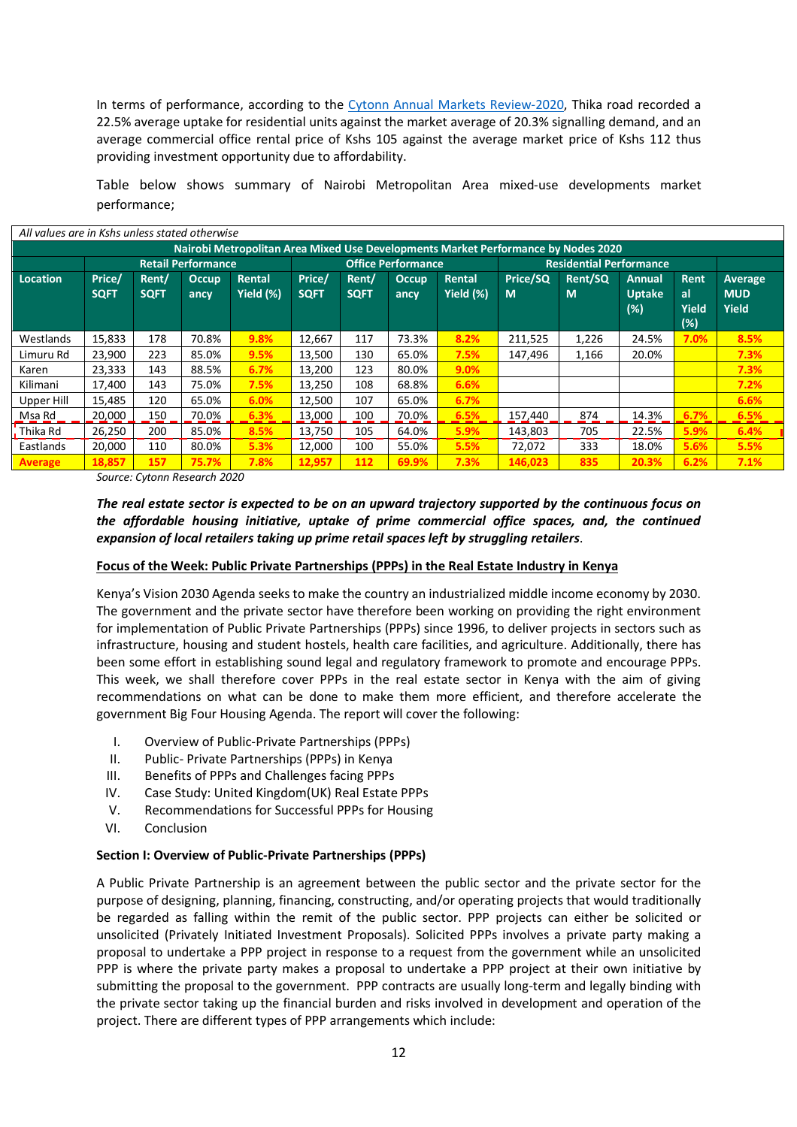In terms of performance, according to the Cytonn Annual Markets Review-2020, Thika road recorded a 22.5% average uptake for residential units against the market average of 20.3% signalling demand, and an average commercial office rental price of Kshs 105 against the average market price of Kshs 112 thus providing investment opportunity due to affordability.

Table below shows summary of Nairobi Metropolitan Area mixed-use developments market performance;

| All values are in Kshs unless stated otherwise                                    |             |             |              |           |             |                           |              |           |          |                                |                      |                    |                            |
|-----------------------------------------------------------------------------------|-------------|-------------|--------------|-----------|-------------|---------------------------|--------------|-----------|----------|--------------------------------|----------------------|--------------------|----------------------------|
| Nairobi Metropolitan Area Mixed Use Developments Market Performance by Nodes 2020 |             |             |              |           |             |                           |              |           |          |                                |                      |                    |                            |
| <b>Retail Performance</b>                                                         |             |             |              |           |             | <b>Office Performance</b> |              |           |          | <b>Residential Performance</b> |                      |                    |                            |
| Location                                                                          | Price/      | Rent/       | <b>Occup</b> | Rental    | Price/      | Rent/                     | <b>Occup</b> | Rental    | Price/SQ | Rent/SQ                        | Annual               | Rent               | <b>Average</b>             |
|                                                                                   | <b>SQFT</b> | <b>SQFT</b> | ancy         | Yield (%) | <b>SQFT</b> | <b>SQFT</b>               | ancy         | Yield (%) | M        | M                              | <b>Uptake</b><br>(%) | al<br>Yield<br>(%) | <b>MUD</b><br><b>Yield</b> |
| Westlands                                                                         | 15,833      | 178         | 70.8%        | 9.8%      | 12,667      | 117                       | 73.3%        | 8.2%      | 211,525  | 1,226                          | 24.5%                | 7.0%               | 8.5%                       |
| Limuru Rd                                                                         | 23,900      | 223         | 85.0%        | 9.5%      | 13,500      | 130                       | 65.0%        | 7.5%      | 147.496  | 1,166                          | 20.0%                |                    | 7.3%                       |
| Karen                                                                             | 23,333      | 143         | 88.5%        | 6.7%      | 13,200      | 123                       | 80.0%        | 9.0%      |          |                                |                      |                    | 7.3%                       |
| Kilimani                                                                          | 17,400      | 143         | 75.0%        | 7.5%      | 13,250      | 108                       | 68.8%        | 6.6%      |          |                                |                      |                    | 7.2%                       |
| Upper Hill                                                                        | 15,485      | 120         | 65.0%        | 6.0%      | 12,500      | 107                       | 65.0%        | 6.7%      |          |                                |                      |                    | 6.6%                       |
| <u>_Msa Rd</u>                                                                    | 20,000      | 150         | 70.0%        | 6.3%      | 13,000      | 100                       | 70.0%        | 6.5%      | 157,440  | 874                            | 14.3%                | 6.7%               | 6.5%                       |
| Thika Rd                                                                          | 26,250      | 200         | 85.0%        | 8.5%      | 13,750      | 105                       | 64.0%        | 5.9%      | 143,803  | 705                            | 22.5%                | 5.9%               | 6.4%                       |
| Eastlands                                                                         | 20,000      | 110         | 80.0%        | 5.3%      | 12,000      | 100                       | 55.0%        | 5.5%      | 72,072   | 333                            | 18.0%                | 5.6%               | 5.5%                       |
| <b>Average</b>                                                                    | 18,857      | 157         | 75.7%        | 7.8%      | 12,957      | 112                       | 69.9%        | 7.3%      | 146,023  | 835                            | 20.3%                | 6.2%               | 7.1%                       |

*Source: Cytonn Research 2020*

# *The real estate sector is expected to be on an upward trajectory supported by the continuous focus on the affordable housing initiative, uptake of prime commercial office spaces, and, the continued expansion of local retailers taking up prime retail spaces left by struggling retailers*.

## **Focus of the Week: Public Private Partnerships (PPPs) in the Real Estate Industry in Kenya**

Kenya's Vision 2030 Agenda seeks to make the country an industrialized middle income economy by 2030. The government and the private sector have therefore been working on providing the right environment for implementation of Public Private Partnerships (PPPs) since 1996, to deliver projects in sectors such as infrastructure, housing and student hostels, health care facilities, and agriculture. Additionally, there has been some effort in establishing sound legal and regulatory framework to promote and encourage PPPs. This week, we shall therefore cover PPPs in the real estate sector in Kenya with the aim of giving recommendations on what can be done to make them more efficient, and therefore accelerate the government Big Four Housing Agenda. The report will cover the following:

- I. Overview of Public-Private Partnerships (PPPs)
- II. Public- Private Partnerships (PPPs) in Kenya
- III. Benefits of PPPs and Challenges facing PPPs
- IV. Case Study: United Kingdom(UK) Real Estate PPPs
- V. Recommendations for Successful PPPs for Housing
- VI. Conclusion

## **Section I: Overview of Public-Private Partnerships (PPPs)**

A Public Private Partnership is an agreement between the public sector and the private sector for the purpose of designing, planning, financing, constructing, and/or operating projects that would traditionally be regarded as falling within the remit of the public sector. PPP projects can either be solicited or unsolicited (Privately Initiated Investment Proposals). Solicited PPPs involves a private party making a proposal to undertake a PPP project in response to a request from the government while an unsolicited PPP is where the private party makes a proposal to undertake a PPP project at their own initiative by submitting the proposal to the government. PPP contracts are usually long-term and legally binding with the private sector taking up the financial burden and risks involved in development and operation of the project. There are different types of PPP arrangements which include: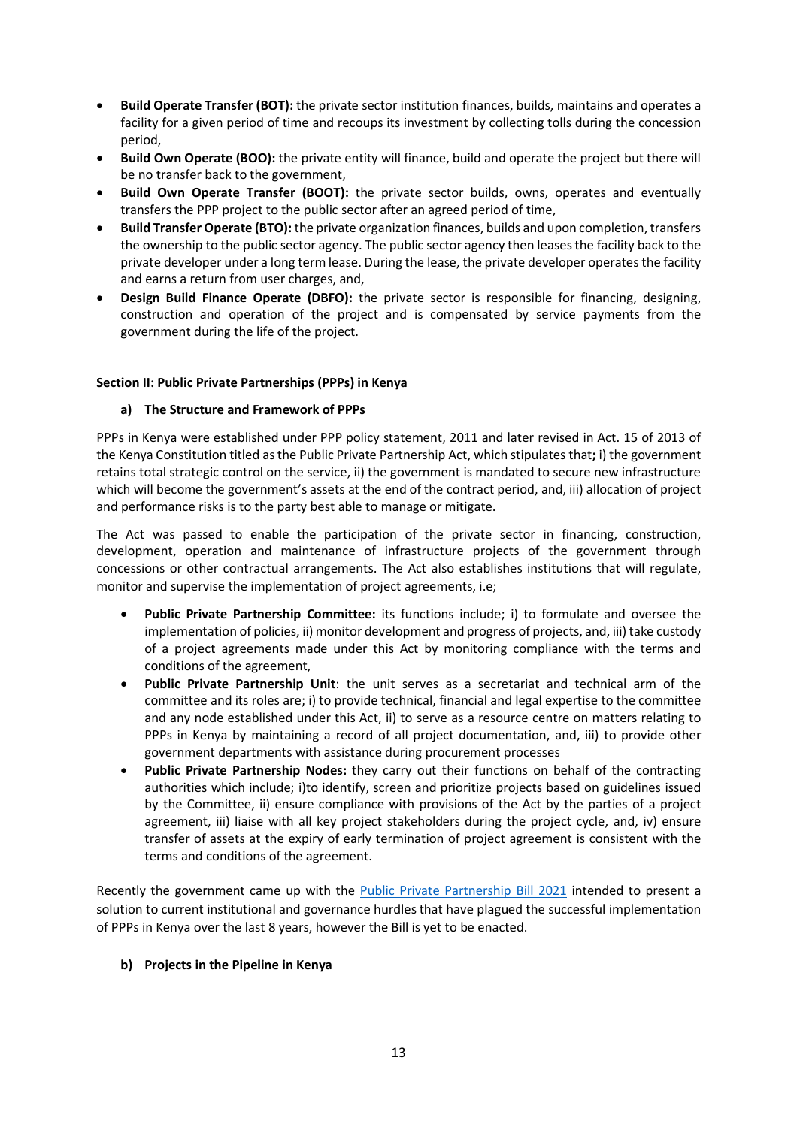- **Build Operate Transfer (BOT):** the private sector institution finances, builds, maintains and operates a facility for a given period of time and recoups its investment by collecting tolls during the concession period,
- **Build Own Operate (BOO):** the private entity will finance, build and operate the project but there will be no transfer back to the government,
- **Build Own Operate Transfer (BOOT):** the private sector builds, owns, operates and eventually transfers the PPP project to the public sector after an agreed period of time,
- **Build Transfer Operate (BTO):** the private organization finances, builds and upon completion, transfers the ownership to the public sector agency. The public sector agency then leases the facility back to the private developer under a long term lease. During the lease, the private developer operates the facility and earns a return from user charges, and,
- **Design Build Finance Operate (DBFO):** the private sector is responsible for financing, designing, construction and operation of the project and is compensated by service payments from the government during the life of the project.

## **Section II: Public Private Partnerships (PPPs) in Kenya**

# **a) The Structure and Framework of PPPs**

PPPs in Kenya were established under PPP policy statement, 2011 and later revised in Act. 15 of 2013 of the Kenya Constitution titled as the Public Private Partnership Act, which stipulates that**;** i) the government retains total strategic control on the service, ii) the government is mandated to secure new infrastructure which will become the government's assets at the end of the contract period, and, iii) allocation of project and performance risks is to the party best able to manage or mitigate.

The Act was passed to enable the participation of the private sector in financing, construction, development, operation and maintenance of infrastructure projects of the government through concessions or other contractual arrangements. The Act also establishes institutions that will regulate, monitor and supervise the implementation of project agreements, i.e;

- **Public Private Partnership Committee:** its functions include; i) to formulate and oversee the implementation of policies, ii) monitor development and progress of projects, and, iii) take custody of a project agreements made under this Act by monitoring compliance with the terms and conditions of the agreement,
- **Public Private Partnership Unit**: the unit serves as a secretariat and technical arm of the committee and its roles are; i) to provide technical, financial and legal expertise to the committee and any node established under this Act, ii) to serve as a resource centre on matters relating to PPPs in Kenya by maintaining a record of all project documentation, and, iii) to provide other government departments with assistance during procurement processes
- **Public Private Partnership Nodes:** they carry out their functions on behalf of the contracting authorities which include; i)to identify, screen and prioritize projects based on guidelines issued by the Committee, ii) ensure compliance with provisions of the Act by the parties of a project agreement, iii) liaise with all key project stakeholders during the project cycle, and, iv) ensure transfer of assets at the expiry of early termination of project agreement is consistent with the terms and conditions of the agreement.

Recently the government came up with the Public Private Partnership Bill 2021 intended to present a solution to current institutional and governance hurdles that have plagued the successful implementation of PPPs in Kenya over the last 8 years, however the Bill is yet to be enacted.

## **b) Projects in the Pipeline in Kenya**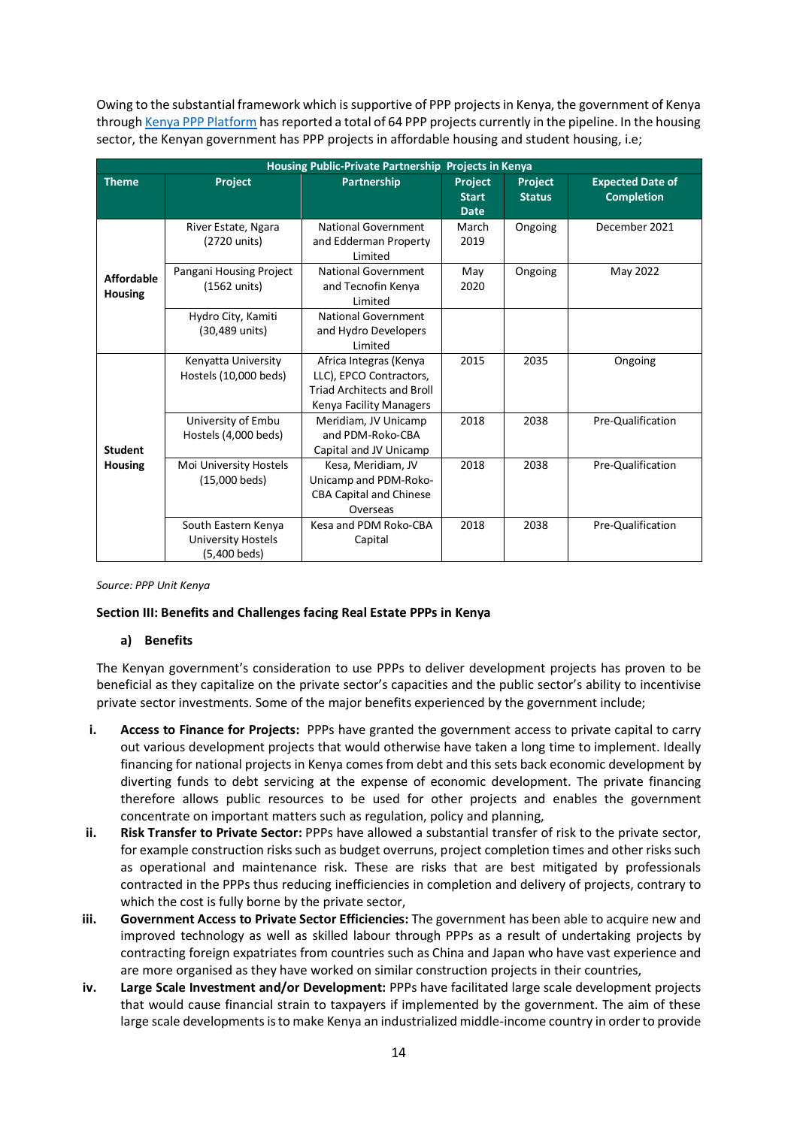Owing to the substantial framework which is supportive of PPP projects in Kenya, the government of Kenya through Kenya PPP Platform has reported a total of 64 PPP projects currently in the pipeline. In the housing sector, the Kenyan government has PPP projects in affordable housing and student housing, i.e;

| Housing Public-Private Partnership Projects in Kenya |                                                                  |                                                                                                                   |                                        |                          |                                              |  |  |  |  |  |  |
|------------------------------------------------------|------------------------------------------------------------------|-------------------------------------------------------------------------------------------------------------------|----------------------------------------|--------------------------|----------------------------------------------|--|--|--|--|--|--|
| <b>Theme</b>                                         | Project                                                          | Partnership                                                                                                       | Project<br><b>Start</b><br><b>Date</b> | Project<br><b>Status</b> | <b>Expected Date of</b><br><b>Completion</b> |  |  |  |  |  |  |
| <b>Affordable</b><br><b>Housing</b>                  | River Estate, Ngara<br>(2720 units)                              | National Government<br>and Edderman Property<br>Limited                                                           | March<br>2019                          | Ongoing                  | December 2021                                |  |  |  |  |  |  |
|                                                      | Pangani Housing Project<br>(1562 units)                          | National Government<br>and Tecnofin Kenya<br>Limited                                                              | May<br>2020                            | Ongoing                  | May 2022                                     |  |  |  |  |  |  |
|                                                      | Hydro City, Kamiti<br>(30,489 units)                             | National Government<br>and Hydro Developers<br>Limited                                                            |                                        |                          |                                              |  |  |  |  |  |  |
|                                                      | Kenyatta University<br>Hostels (10,000 beds)                     | Africa Integras (Kenya<br>LLC), EPCO Contractors,<br><b>Triad Architects and Broll</b><br>Kenya Facility Managers | 2015                                   | 2035                     | Ongoing                                      |  |  |  |  |  |  |
| <b>Student</b>                                       | University of Embu<br>Hostels (4,000 beds)                       | Meridiam, JV Unicamp<br>and PDM-Roko-CBA<br>Capital and JV Unicamp                                                | 2018                                   | 2038                     | Pre-Qualification                            |  |  |  |  |  |  |
| <b>Housing</b>                                       | Moi University Hostels<br>(15,000 beds)                          | Kesa, Meridiam, JV<br>Unicamp and PDM-Roko-<br><b>CBA Capital and Chinese</b><br>Overseas                         | 2018                                   | 2038                     | Pre-Qualification                            |  |  |  |  |  |  |
|                                                      | South Eastern Kenya<br><b>University Hostels</b><br>(5,400 beds) | Kesa and PDM Roko-CBA<br>Capital                                                                                  | 2018                                   | 2038                     | Pre-Qualification                            |  |  |  |  |  |  |

#### *Source: PPP Unit Kenya*

## **Section III: Benefits and Challenges facing Real Estate PPPs in Kenya**

#### **a) Benefits**

The Kenyan government's consideration to use PPPs to deliver development projects has proven to be beneficial as they capitalize on the private sector's capacities and the public sector's ability to incentivise private sector investments. Some of the major benefits experienced by the government include;

- **i. Access to Finance for Projects:** PPPs have granted the government access to private capital to carry out various development projects that would otherwise have taken a long time to implement. Ideally financing for national projects in Kenya comes from debt and this sets back economic development by diverting funds to debt servicing at the expense of economic development. The private financing therefore allows public resources to be used for other projects and enables the government concentrate on important matters such as regulation, policy and planning,
- **ii. Risk Transfer to Private Sector:** PPPs have allowed a substantial transfer of risk to the private sector, for example construction risks such as budget overruns, project completion times and other risks such as operational and maintenance risk. These are risks that are best mitigated by professionals contracted in the PPPs thus reducing inefficiencies in completion and delivery of projects, contrary to which the cost is fully borne by the private sector,
- **iii. Government Access to Private Sector Efficiencies:** The government has been able to acquire new and improved technology as well as skilled labour through PPPs as a result of undertaking projects by contracting foreign expatriates from countries such as China and Japan who have vast experience and are more organised as they have worked on similar construction projects in their countries,
- **iv. Large Scale Investment and/or Development:** PPPs have facilitated large scale development projects that would cause financial strain to taxpayers if implemented by the government. The aim of these large scale developments is to make Kenya an industrialized middle-income country in order to provide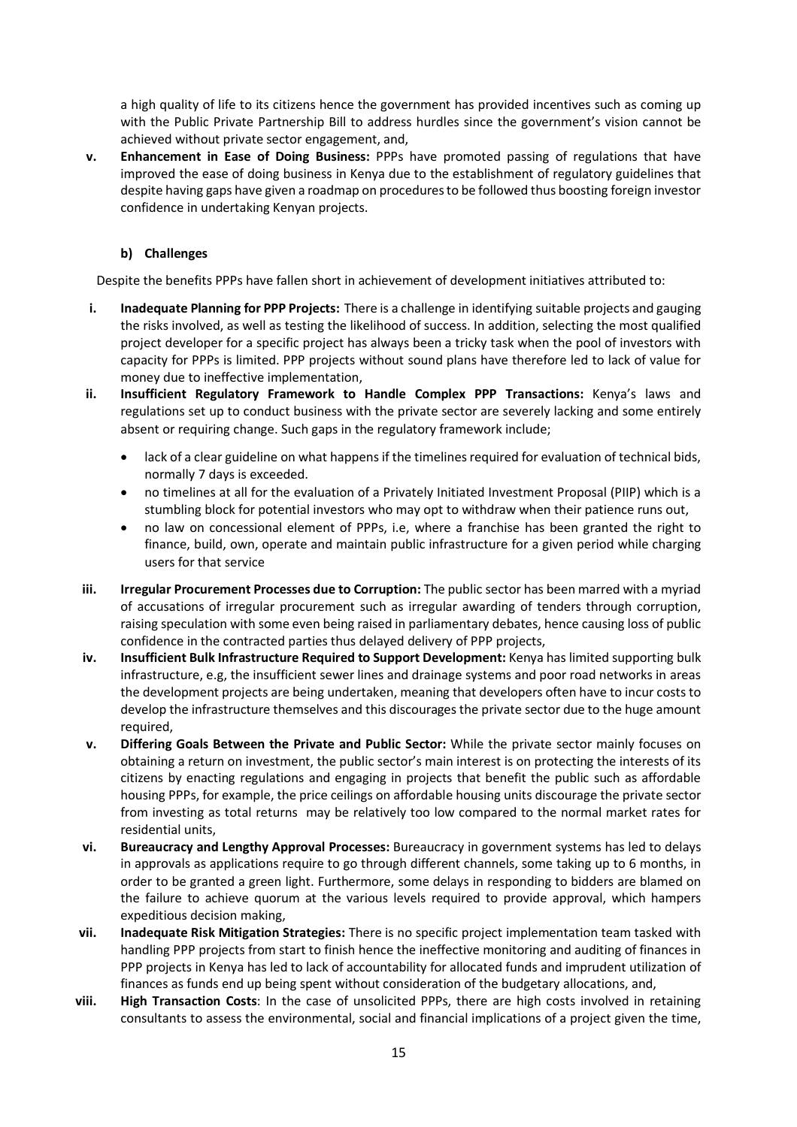a high quality of life to its citizens hence the government has provided incentives such as coming up with the Public Private Partnership Bill to address hurdles since the government's vision cannot be achieved without private sector engagement, and,

**v. Enhancement in Ease of Doing Business:** PPPs have promoted passing of regulations that have improved the ease of doing business in Kenya due to the establishment of regulatory guidelines that despite having gaps have given a roadmap on procedures to be followed thus boosting foreign investor confidence in undertaking Kenyan projects.

# **b) Challenges**

Despite the benefits PPPs have fallen short in achievement of development initiatives attributed to:

- **i. Inadequate Planning for PPP Projects:** There is a challenge in identifying suitable projects and gauging the risks involved, as well as testing the likelihood of success. In addition, selecting the most qualified project developer for a specific project has always been a tricky task when the pool of investors with capacity for PPPs is limited. PPP projects without sound plans have therefore led to lack of value for money due to ineffective implementation,
- **ii. Insufficient Regulatory Framework to Handle Complex PPP Transactions:** Kenya's laws and regulations set up to conduct business with the private sector are severely lacking and some entirely absent or requiring change. Such gaps in the regulatory framework include;
	- lack of a clear guideline on what happens if the timelines required for evaluation of technical bids, normally 7 days is exceeded.
	- no timelines at all for the evaluation of a Privately Initiated Investment Proposal (PIIP) which is a stumbling block for potential investors who may opt to withdraw when their patience runs out,
	- no law on concessional element of PPPs, i.e, where a franchise has been granted the right to finance, build, own, operate and maintain public infrastructure for a given period while charging users for that service
- **iii. Irregular Procurement Processes due to Corruption:** The public sector has been marred with a myriad of accusations of irregular procurement such as irregular awarding of tenders through corruption, raising speculation with some even being raised in parliamentary debates, hence causing loss of public confidence in the contracted parties thus delayed delivery of PPP projects,
- **iv. Insufficient Bulk Infrastructure Required to Support Development:** Kenya has limited supporting bulk infrastructure, e.g, the insufficient sewer lines and drainage systems and poor road networks in areas the development projects are being undertaken, meaning that developers often have to incur costs to develop the infrastructure themselves and this discourages the private sector due to the huge amount required,
- **v. Differing Goals Between the Private and Public Sector:** While the private sector mainly focuses on obtaining a return on investment, the public sector's main interest is on protecting the interests of its citizens by enacting regulations and engaging in projects that benefit the public such as affordable housing PPPs, for example, the price ceilings on affordable housing units discourage the private sector from investing as total returns may be relatively too low compared to the normal market rates for residential units,
- **vi. Bureaucracy and Lengthy Approval Processes:** Bureaucracy in government systems has led to delays in approvals as applications require to go through different channels, some taking up to 6 months, in order to be granted a green light. Furthermore, some delays in responding to bidders are blamed on the failure to achieve quorum at the various levels required to provide approval, which hampers expeditious decision making,
- **vii. Inadequate Risk Mitigation Strategies:** There is no specific project implementation team tasked with handling PPP projects from start to finish hence the ineffective monitoring and auditing of finances in PPP projects in Kenya has led to lack of accountability for allocated funds and imprudent utilization of finances as funds end up being spent without consideration of the budgetary allocations, and,
- **viii. High Transaction Costs**: In the case of unsolicited PPPs, there are high costs involved in retaining consultants to assess the environmental, social and financial implications of a project given the time,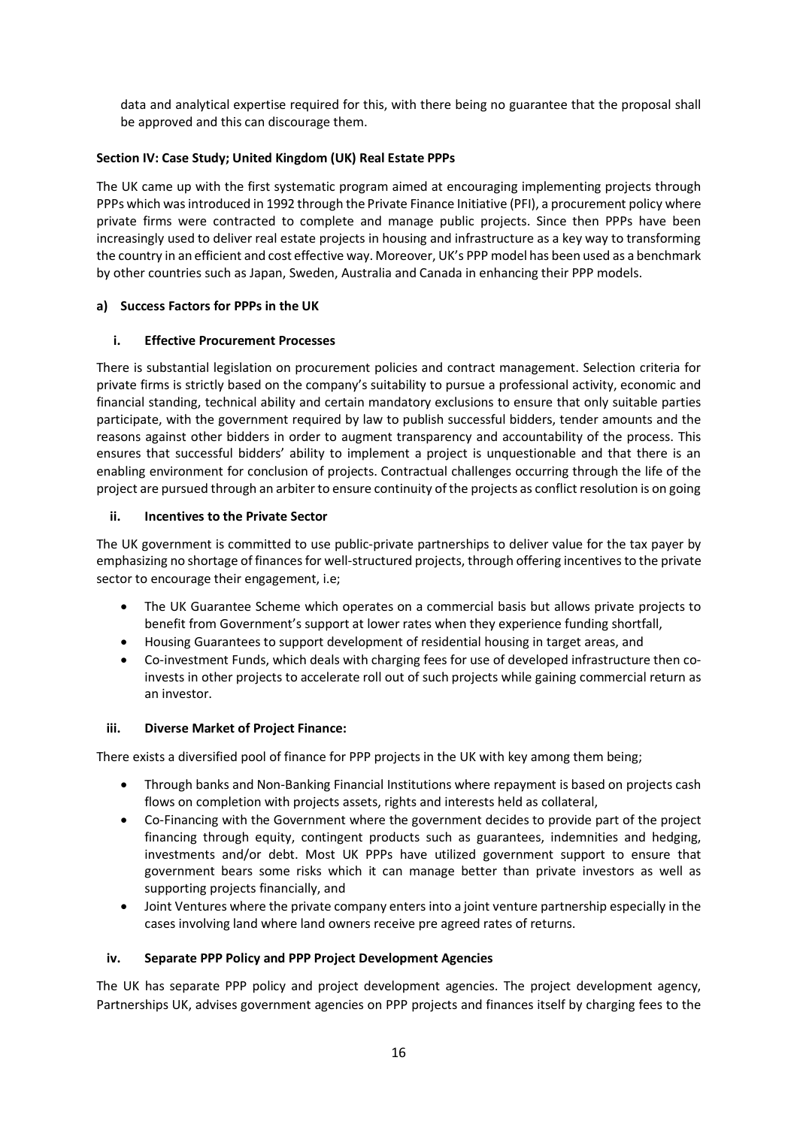data and analytical expertise required for this, with there being no guarantee that the proposal shall be approved and this can discourage them.

# **Section IV: Case Study; United Kingdom (UK) Real Estate PPPs**

The UK came up with the first systematic program aimed at encouraging implementing projects through PPPs which was introduced in 1992 through the Private Finance Initiative (PFI), a procurement policy where private firms were contracted to complete and manage public projects. Since then PPPs have been increasingly used to deliver real estate projects in housing and infrastructure as a key way to transforming the country in an efficient and cost effective way. Moreover, UK's PPP model has been used as a benchmark by other countries such as Japan, Sweden, Australia and Canada in enhancing their PPP models.

## **a) Success Factors for PPPs in the UK**

## **i. Effective Procurement Processes**

There is substantial legislation on procurement policies and contract management. Selection criteria for private firms is strictly based on the company's suitability to pursue a professional activity, economic and financial standing, technical ability and certain mandatory exclusions to ensure that only suitable parties participate, with the government required by law to publish successful bidders, tender amounts and the reasons against other bidders in order to augment transparency and accountability of the process. This ensures that successful bidders' ability to implement a project is unquestionable and that there is an enabling environment for conclusion of projects. Contractual challenges occurring through the life of the project are pursued through an arbiter to ensure continuity of the projects as conflict resolution is on going

#### **ii. Incentives to the Private Sector**

The UK government is committed to use public-private partnerships to deliver value for the tax payer by emphasizing no shortage of finances for well-structured projects, through offering incentives to the private sector to encourage their engagement, i.e;

- The UK Guarantee Scheme which operates on a commercial basis but allows private projects to benefit from Government's support at lower rates when they experience funding shortfall,
- Housing Guarantees to support development of residential housing in target areas, and
- Co-investment Funds, which deals with charging fees for use of developed infrastructure then coinvests in other projects to accelerate roll out of such projects while gaining commercial return as an investor.

#### **iii. Diverse Market of Project Finance:**

There exists a diversified pool of finance for PPP projects in the UK with key among them being;

- Through banks and Non-Banking Financial Institutions where repayment is based on projects cash flows on completion with projects assets, rights and interests held as collateral,
- Co-Financing with the Government where the government decides to provide part of the project financing through equity, contingent products such as guarantees, indemnities and hedging, investments and/or debt. Most UK PPPs have utilized government support to ensure that government bears some risks which it can manage better than private investors as well as supporting projects financially, and
- Joint Ventures where the private company enters into a joint venture partnership especially in the cases involving land where land owners receive pre agreed rates of returns.

## **iv. Separate PPP Policy and PPP Project Development Agencies**

The UK has separate PPP policy and project development agencies. The project development agency, Partnerships UK, advises government agencies on PPP projects and finances itself by charging fees to the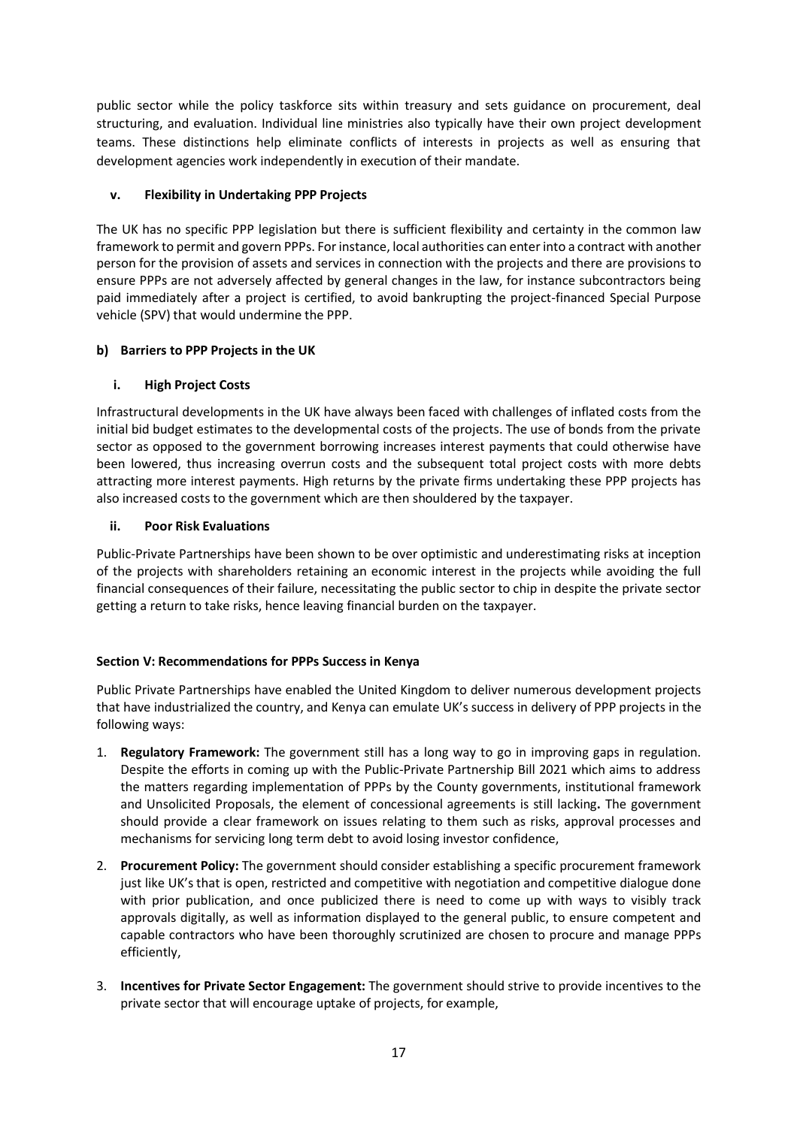public sector while the policy taskforce sits within treasury and sets guidance on procurement, deal structuring, and evaluation. Individual line ministries also typically have their own project development teams. These distinctions help eliminate conflicts of interests in projects as well as ensuring that development agencies work independently in execution of their mandate.

# **v. Flexibility in Undertaking PPP Projects**

The UK has no specific PPP legislation but there is sufficient flexibility and certainty in the common law framework to permit and govern PPPs. For instance, local authorities can enter into a contract with another person for the provision of assets and services in connection with the projects and there are provisions to ensure PPPs are not adversely affected by general changes in the law, for instance subcontractors being paid immediately after a project is certified, to avoid bankrupting the project-financed Special Purpose vehicle (SPV) that would undermine the PPP.

# **b) Barriers to PPP Projects in the UK**

# **i. High Project Costs**

Infrastructural developments in the UK have always been faced with challenges of inflated costs from the initial bid budget estimates to the developmental costs of the projects. The use of bonds from the private sector as opposed to the government borrowing increases interest payments that could otherwise have been lowered, thus increasing overrun costs and the subsequent total project costs with more debts attracting more interest payments. High returns by the private firms undertaking these PPP projects has also increased costs to the government which are then shouldered by the taxpayer.

# **ii. Poor Risk Evaluations**

Public-Private Partnerships have been shown to be over optimistic and underestimating risks at inception of the projects with shareholders retaining an economic interest in the projects while avoiding the full financial consequences of their failure, necessitating the public sector to chip in despite the private sector getting a return to take risks, hence leaving financial burden on the taxpayer.

## **Section V: Recommendations for PPPs Success in Kenya**

Public Private Partnerships have enabled the United Kingdom to deliver numerous development projects that have industrialized the country, and Kenya can emulate UK's success in delivery of PPP projects in the following ways:

- 1. **Regulatory Framework:** The government still has a long way to go in improving gaps in regulation. Despite the efforts in coming up with the Public-Private Partnership Bill 2021 which aims to address the matters regarding implementation of PPPs by the County governments, institutional framework and Unsolicited Proposals, the element of concessional agreements is still lacking**.** The government should provide a clear framework on issues relating to them such as risks, approval processes and mechanisms for servicing long term debt to avoid losing investor confidence,
- 2. **Procurement Policy:** The government should consider establishing a specific procurement framework just like UK's that is open, restricted and competitive with negotiation and competitive dialogue done with prior publication, and once publicized there is need to come up with ways to visibly track approvals digitally, as well as information displayed to the general public, to ensure competent and capable contractors who have been thoroughly scrutinized are chosen to procure and manage PPPs efficiently,
- 3. **Incentives for Private Sector Engagement:** The government should strive to provide incentives to the private sector that will encourage uptake of projects, for example,